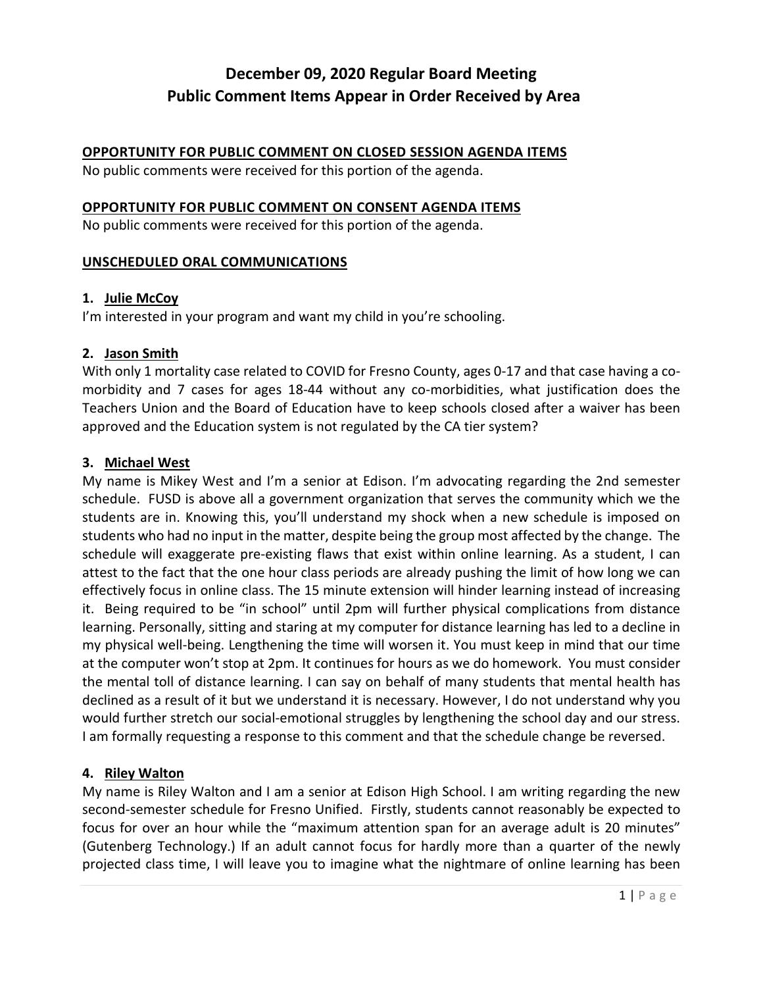#### **OPPORTUNITY FOR PUBLIC COMMENT ON CLOSED SESSION AGENDA ITEMS**

No public comments were received for this portion of the agenda.

#### **OPPORTUNITY FOR PUBLIC COMMENT ON CONSENT AGENDA ITEMS**

No public comments were received for this portion of the agenda.

#### **UNSCHEDULED ORAL COMMUNICATIONS**

#### **1. Julie McCoy**

I'm interested in your program and want my child in you're schooling.

#### **2. Jason Smith**

With only 1 mortality case related to COVID for Fresno County, ages 0-17 and that case having a comorbidity and 7 cases for ages 18-44 without any co-morbidities, what justification does the Teachers Union and the Board of Education have to keep schools closed after a waiver has been approved and the Education system is not regulated by the CA tier system?

#### **3. Michael West**

My name is Mikey West and I'm a senior at Edison. I'm advocating regarding the 2nd semester schedule. FUSD is above all a government organization that serves the community which we the students are in. Knowing this, you'll understand my shock when a new schedule is imposed on students who had no input in the matter, despite being the group most affected by the change. The schedule will exaggerate pre-existing flaws that exist within online learning. As a student, I can attest to the fact that the one hour class periods are already pushing the limit of how long we can effectively focus in online class. The 15 minute extension will hinder learning instead of increasing it. Being required to be "in school" until 2pm will further physical complications from distance learning. Personally, sitting and staring at my computer for distance learning has led to a decline in my physical well-being. Lengthening the time will worsen it. You must keep in mind that our time at the computer won't stop at 2pm. It continues for hours as we do homework. You must consider the mental toll of distance learning. I can say on behalf of many students that mental health has declined as a result of it but we understand it is necessary. However, I do not understand why you would further stretch our social-emotional struggles by lengthening the school day and our stress. I am formally requesting a response to this comment and that the schedule change be reversed.

#### **4. Riley Walton**

My name is Riley Walton and I am a senior at Edison High School. I am writing regarding the new second-semester schedule for Fresno Unified. Firstly, students cannot reasonably be expected to focus for over an hour while the "maximum attention span for an average adult is 20 minutes" (Gutenberg Technology.) If an adult cannot focus for hardly more than a quarter of the newly projected class time, I will leave you to imagine what the nightmare of online learning has been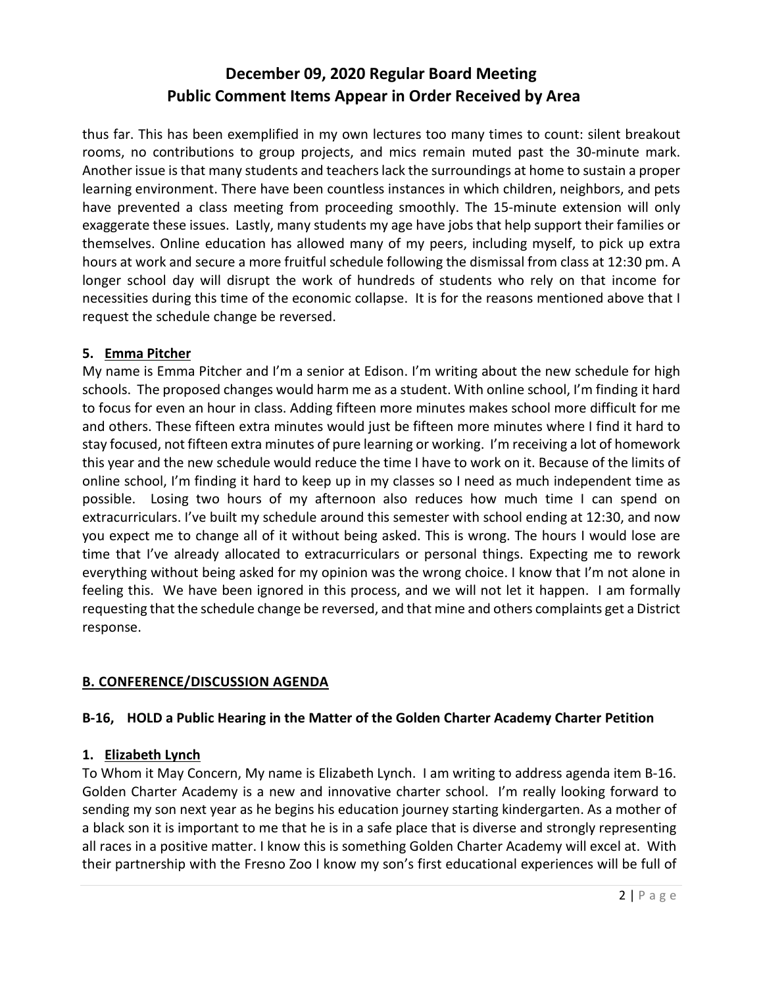thus far. This has been exemplified in my own lectures too many times to count: silent breakout rooms, no contributions to group projects, and mics remain muted past the 30-minute mark. Another issue is that many students and teachers lack the surroundings at home to sustain a proper learning environment. There have been countless instances in which children, neighbors, and pets have prevented a class meeting from proceeding smoothly. The 15-minute extension will only exaggerate these issues. Lastly, many students my age have jobs that help support their families or themselves. Online education has allowed many of my peers, including myself, to pick up extra hours at work and secure a more fruitful schedule following the dismissal from class at 12:30 pm. A longer school day will disrupt the work of hundreds of students who rely on that income for necessities during this time of the economic collapse. It is for the reasons mentioned above that I request the schedule change be reversed.

## **5. Emma Pitcher**

My name is Emma Pitcher and I'm a senior at Edison. I'm writing about the new schedule for high schools. The proposed changes would harm me as a student. With online school, I'm finding it hard to focus for even an hour in class. Adding fifteen more minutes makes school more difficult for me and others. These fifteen extra minutes would just be fifteen more minutes where I find it hard to stay focused, not fifteen extra minutes of pure learning or working. I'm receiving a lot of homework this year and the new schedule would reduce the time I have to work on it. Because of the limits of online school, I'm finding it hard to keep up in my classes so I need as much independent time as possible. Losing two hours of my afternoon also reduces how much time I can spend on extracurriculars. I've built my schedule around this semester with school ending at 12:30, and now you expect me to change all of it without being asked. This is wrong. The hours I would lose are time that I've already allocated to extracurriculars or personal things. Expecting me to rework everything without being asked for my opinion was the wrong choice. I know that I'm not alone in feeling this. We have been ignored in this process, and we will not let it happen. I am formally requesting that the schedule change be reversed, and that mine and others complaints get a District response.

## **B. CONFERENCE/DISCUSSION AGENDA**

## **B-16, HOLD a Public Hearing in the Matter of the Golden Charter Academy Charter Petition**

## **1. Elizabeth Lynch**

To Whom it May Concern, My name is Elizabeth Lynch. I am writing to address agenda item B-16. Golden Charter Academy is a new and innovative charter school. I'm really looking forward to sending my son next year as he begins his education journey starting kindergarten. As a mother of a black son it is important to me that he is in a safe place that is diverse and strongly representing all races in a positive matter. I know this is something Golden Charter Academy will excel at. With their partnership with the Fresno Zoo I know my son's first educational experiences will be full of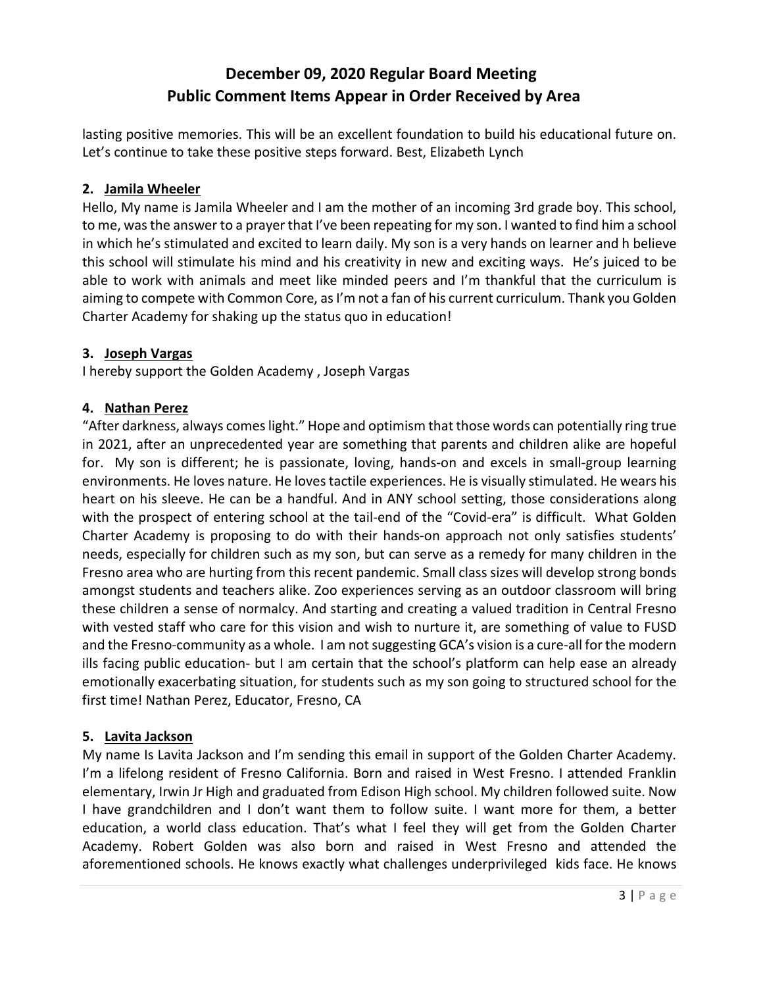lasting positive memories. This will be an excellent foundation to build his educational future on. Let's continue to take these positive steps forward. Best, Elizabeth Lynch

## **2. Jamila Wheeler**

Hello, My name is Jamila Wheeler and I am the mother of an incoming 3rd grade boy. This school, to me, was the answer to a prayer that I've been repeating for my son. I wanted to find him a school in which he's stimulated and excited to learn daily. My son is a very hands on learner and h believe this school will stimulate his mind and his creativity in new and exciting ways. He's juiced to be able to work with animals and meet like minded peers and I'm thankful that the curriculum is aiming to compete with Common Core, as I'm not a fan of his current curriculum. Thank you Golden Charter Academy for shaking up the status quo in education!

#### **3. Joseph Vargas**

I hereby support the Golden Academy , Joseph Vargas

#### **4. Nathan Perez**

"After darkness, always comes light." Hope and optimism that those words can potentially ring true in 2021, after an unprecedented year are something that parents and children alike are hopeful for. My son is different; he is passionate, loving, hands-on and excels in small-group learning environments. He loves nature. He loves tactile experiences. He is visually stimulated. He wears his heart on his sleeve. He can be a handful. And in ANY school setting, those considerations along with the prospect of entering school at the tail-end of the "Covid-era" is difficult. What Golden Charter Academy is proposing to do with their hands-on approach not only satisfies students' needs, especially for children such as my son, but can serve as a remedy for many children in the Fresno area who are hurting from this recent pandemic. Small class sizes will develop strong bonds amongst students and teachers alike. Zoo experiences serving as an outdoor classroom will bring these children a sense of normalcy. And starting and creating a valued tradition in Central Fresno with vested staff who care for this vision and wish to nurture it, are something of value to FUSD and the Fresno-community as a whole. I am not suggesting GCA's vision is a cure-all for the modern ills facing public education- but I am certain that the school's platform can help ease an already emotionally exacerbating situation, for students such as my son going to structured school for the first time! Nathan Perez, Educator, Fresno, CA

#### **5. Lavita Jackson**

My name Is Lavita Jackson and I'm sending this email in support of the Golden Charter Academy. I'm a lifelong resident of Fresno California. Born and raised in West Fresno. I attended Franklin elementary, Irwin Jr High and graduated from Edison High school. My children followed suite. Now I have grandchildren and I don't want them to follow suite. I want more for them, a better education, a world class education. That's what I feel they will get from the Golden Charter Academy. Robert Golden was also born and raised in West Fresno and attended the aforementioned schools. He knows exactly what challenges underprivileged kids face. He knows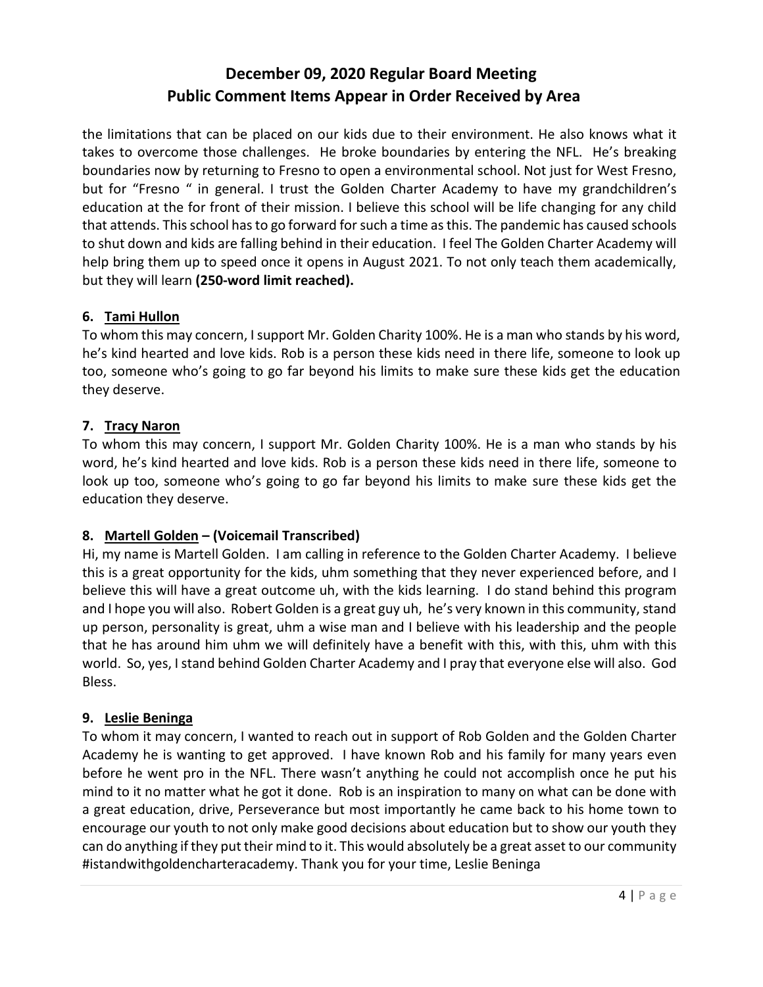the limitations that can be placed on our kids due to their environment. He also knows what it takes to overcome those challenges. He broke boundaries by entering the NFL. He's breaking boundaries now by returning to Fresno to open a environmental school. Not just for West Fresno, but for "Fresno " in general. I trust the Golden Charter Academy to have my grandchildren's education at the for front of their mission. I believe this school will be life changing for any child that attends. This school has to go forward for such a time as this. The pandemic has caused schools to shut down and kids are falling behind in their education. I feel The Golden Charter Academy will help bring them up to speed once it opens in August 2021. To not only teach them academically, but they will learn **(250-word limit reached).**

## **6. Tami Hullon**

To whom this may concern, I support Mr. Golden Charity 100%. He is a man who stands by his word, he's kind hearted and love kids. Rob is a person these kids need in there life, someone to look up too, someone who's going to go far beyond his limits to make sure these kids get the education they deserve.

## **7. Tracy Naron**

To whom this may concern, I support Mr. Golden Charity 100%. He is a man who stands by his word, he's kind hearted and love kids. Rob is a person these kids need in there life, someone to look up too, someone who's going to go far beyond his limits to make sure these kids get the education they deserve.

## **8. Martell Golden – (Voicemail Transcribed)**

Hi, my name is Martell Golden. I am calling in reference to the Golden Charter Academy. I believe this is a great opportunity for the kids, uhm something that they never experienced before, and I believe this will have a great outcome uh, with the kids learning. I do stand behind this program and I hope you will also. Robert Golden is a great guy uh, he's very known in this community, stand up person, personality is great, uhm a wise man and I believe with his leadership and the people that he has around him uhm we will definitely have a benefit with this, with this, uhm with this world. So, yes, I stand behind Golden Charter Academy and I pray that everyone else will also. God Bless.

## **9. Leslie Beninga**

To whom it may concern, I wanted to reach out in support of Rob Golden and the Golden Charter Academy he is wanting to get approved. I have known Rob and his family for many years even before he went pro in the NFL. There wasn't anything he could not accomplish once he put his mind to it no matter what he got it done. Rob is an inspiration to many on what can be done with a great education, drive, Perseverance but most importantly he came back to his home town to encourage our youth to not only make good decisions about education but to show our youth they can do anything if they put their mind to it. This would absolutely be a great asset to our community #istandwithgoldencharteracademy. Thank you for your time, Leslie Beninga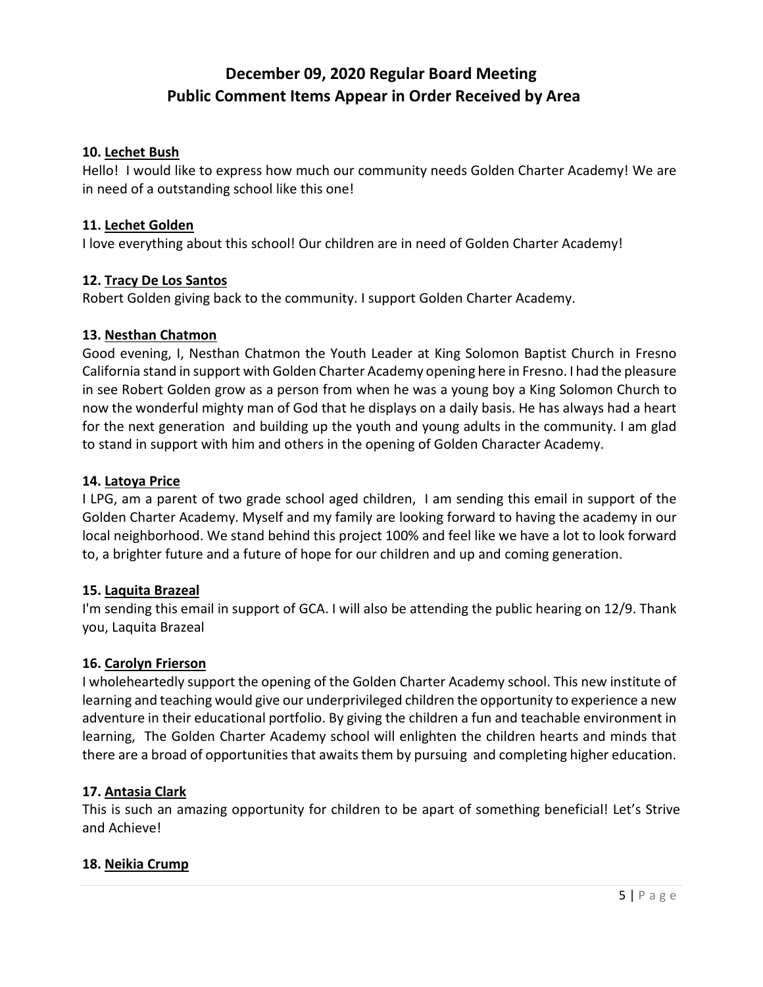#### **10. Lechet Bush**

Hello! I would like to express how much our community needs Golden Charter Academy! We are in need of a outstanding school like this one!

#### **11. Lechet Golden**

I love everything about this school! Our children are in need of Golden Charter Academy!

#### **12. Tracy De Los Santos**

Robert Golden giving back to the community. I support Golden Charter Academy.

#### **13. Nesthan Chatmon**

Good evening, I, Nesthan Chatmon the Youth Leader at King Solomon Baptist Church in Fresno California stand in support with Golden Charter Academy opening here in Fresno. I had the pleasure in see Robert Golden grow as a person from when he was a young boy a King Solomon Church to now the wonderful mighty man of God that he displays on a daily basis. He has always had a heart for the next generation and building up the youth and young adults in the community. I am glad to stand in support with him and others in the opening of Golden Character Academy.

#### **14. Latoya Price**

I LPG, am a parent of two grade school aged children, I am sending this email in support of the Golden Charter Academy. Myself and my family are looking forward to having the academy in our local neighborhood. We stand behind this project 100% and feel like we have a lot to look forward to, a brighter future and a future of hope for our children and up and coming generation.

#### **15. Laquita Brazeal**

I'm sending this email in support of GCA. I will also be attending the public hearing on 12/9. Thank you, Laquita Brazeal

## **16. Carolyn Frierson**

I wholeheartedly support the opening of the Golden Charter Academy school. This new institute of learning and teaching would give our underprivileged children the opportunity to experience a new adventure in their educational portfolio. By giving the children a fun and teachable environment in learning, The Golden Charter Academy school will enlighten the children hearts and minds that there are a broad of opportunities that awaits them by pursuing and completing higher education.

## **17. Antasia Clark**

This is such an amazing opportunity for children to be apart of something beneficial! Let's Strive and Achieve!

#### **18. Neikia Crump**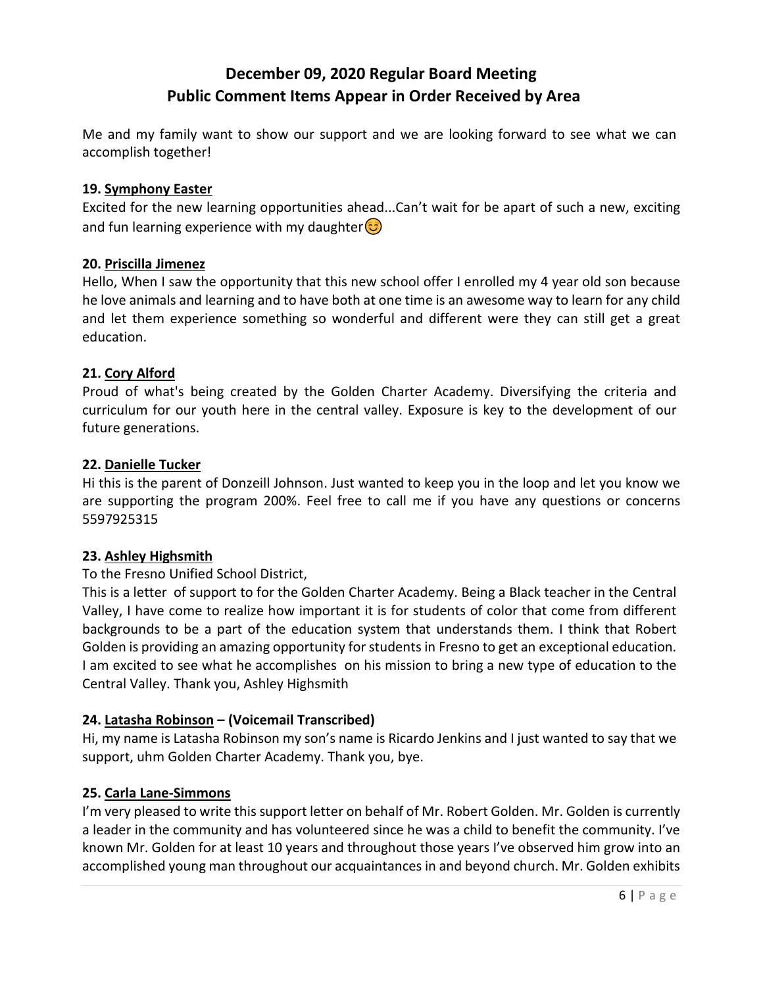Me and my family want to show our support and we are looking forward to see what we can accomplish together!

#### **19. Symphony Easter**

Excited for the new learning opportunities ahead...Can't wait for be apart of such a new, exciting and fun learning experience with my daughter  $\circled{e}$ 

#### **20. Priscilla Jimenez**

Hello, When I saw the opportunity that this new school offer I enrolled my 4 year old son because he love animals and learning and to have both at one time is an awesome way to learn for any child and let them experience something so wonderful and different were they can still get a great education.

#### **21. Cory Alford**

Proud of what's being created by the Golden Charter Academy. Diversifying the criteria and curriculum for our youth here in the central valley. Exposure is key to the development of our future generations.

#### **22. Danielle Tucker**

Hi this is the parent of Donzeill Johnson. Just wanted to keep you in the loop and let you know we are supporting the program 200%. Feel free to call me if you have any questions or concerns 5597925315

## **23. Ashley Highsmith**

## To the Fresno Unified School District,

This is a letter of support to for the Golden Charter Academy. Being a Black teacher in the Central Valley, I have come to realize how important it is for students of color that come from different backgrounds to be a part of the education system that understands them. I think that Robert Golden is providing an amazing opportunity for students in Fresno to get an exceptional education. I am excited to see what he accomplishes on his mission to bring a new type of education to the Central Valley. Thank you, Ashley Highsmith

## **24. Latasha Robinson – (Voicemail Transcribed)**

Hi, my name is Latasha Robinson my son's name is Ricardo Jenkins and I just wanted to say that we support, uhm Golden Charter Academy. Thank you, bye.

## **25. Carla Lane-Simmons**

I'm very pleased to write this support letter on behalf of Mr. Robert Golden. Mr. Golden is currently a leader in the community and has volunteered since he was a child to benefit the community. I've known Mr. Golden for at least 10 years and throughout those years I've observed him grow into an accomplished young man throughout our acquaintances in and beyond church. Mr. Golden exhibits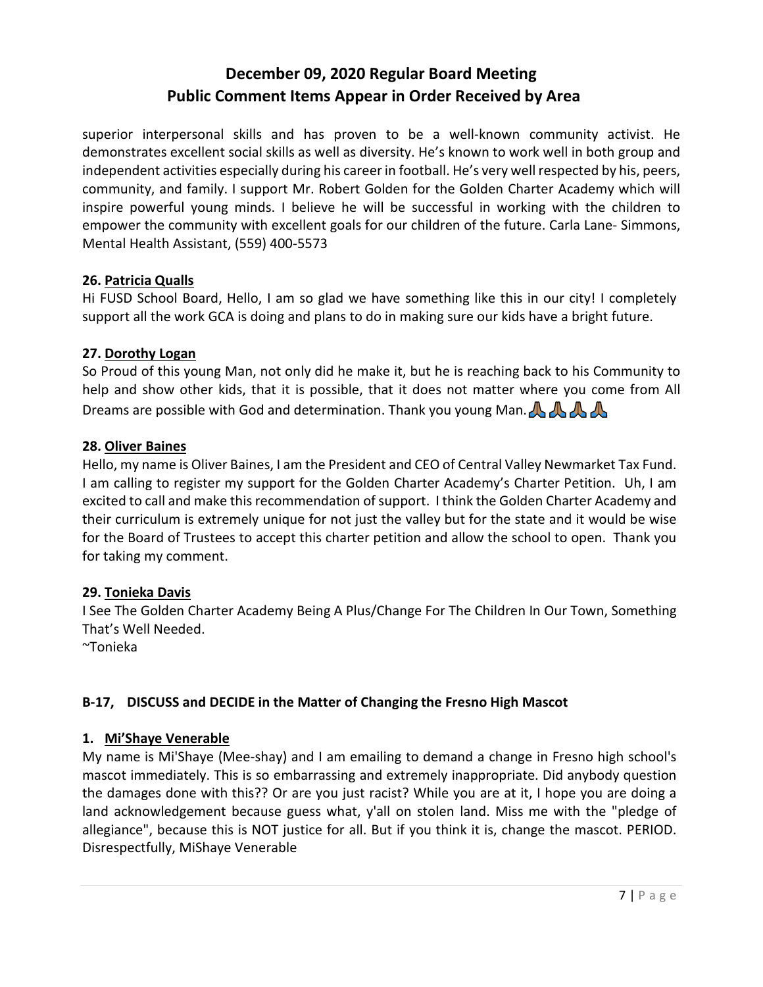superior interpersonal skills and has proven to be a well-known community activist. He demonstrates excellent social skills as well as diversity. He's known to work well in both group and independent activities especially during his career in football. He's very well respected by his, peers, community, and family. I support Mr. Robert Golden for the Golden Charter Academy which will inspire powerful young minds. I believe he will be successful in working with the children to empower the community with excellent goals for our children of the future. Carla Lane- Simmons, Mental Health Assistant, (559) 400-5573

## **26. Patricia Qualls**

Hi FUSD School Board, Hello, I am so glad we have something like this in our city! I completely support all the work GCA is doing and plans to do in making sure our kids have a bright future.

#### **27. Dorothy Logan**

So Proud of this young Man, not only did he make it, but he is reaching back to his Community to help and show other kids, that it is possible, that it does not matter where you come from All Dreams are possible with God and determination. Thank you young Man.  $\mathbb{A} \mathbb{A}$ 

#### **28. Oliver Baines**

Hello, my name is Oliver Baines, I am the President and CEO of Central Valley Newmarket Tax Fund. I am calling to register my support for the Golden Charter Academy's Charter Petition. Uh, I am excited to call and make this recommendation of support. I think the Golden Charter Academy and their curriculum is extremely unique for not just the valley but for the state and it would be wise for the Board of Trustees to accept this charter petition and allow the school to open. Thank you for taking my comment.

#### **29. Tonieka Davis**

I See The Golden Charter Academy Being A Plus/Change For The Children In Our Town, Something That's Well Needed.

~Tonieka

## **B-17, DISCUSS and DECIDE in the Matter of Changing the Fresno High Mascot**

#### **1. Mi'Shaye Venerable**

My name is Mi'Shaye (Mee-shay) and I am emailing to demand a change in Fresno high school's mascot immediately. This is so embarrassing and extremely inappropriate. Did anybody question the damages done with this?? Or are you just racist? While you are at it, I hope you are doing a land acknowledgement because guess what, y'all on stolen land. Miss me with the "pledge of allegiance", because this is NOT justice for all. But if you think it is, change the mascot. PERIOD. Disrespectfully, MiShaye Venerable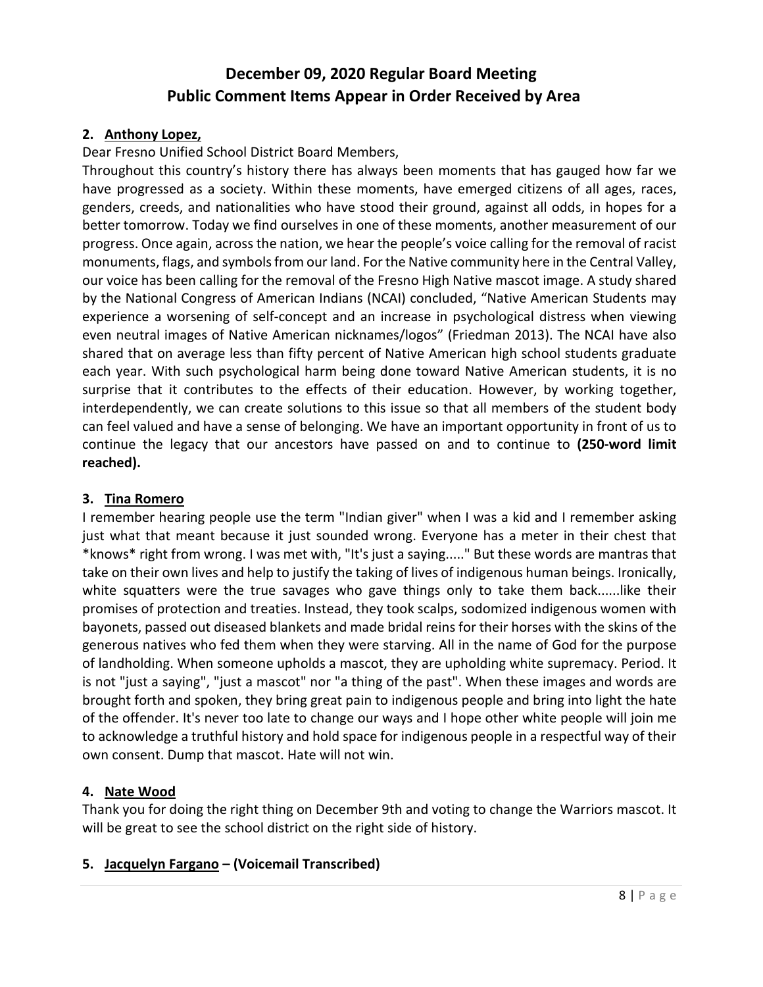#### **2. Anthony Lopez,**

Dear Fresno Unified School District Board Members,

Throughout this country's history there has always been moments that has gauged how far we have progressed as a society. Within these moments, have emerged citizens of all ages, races, genders, creeds, and nationalities who have stood their ground, against all odds, in hopes for a better tomorrow. Today we find ourselves in one of these moments, another measurement of our progress. Once again, across the nation, we hear the people's voice calling for the removal of racist monuments, flags, and symbols from our land. For the Native community here in the Central Valley, our voice has been calling for the removal of the Fresno High Native mascot image. A study shared by the National Congress of American Indians (NCAI) concluded, "Native American Students may experience a worsening of self-concept and an increase in psychological distress when viewing even neutral images of Native American nicknames/logos" (Friedman 2013). The NCAI have also shared that on average less than fifty percent of Native American high school students graduate each year. With such psychological harm being done toward Native American students, it is no surprise that it contributes to the effects of their education. However, by working together, interdependently, we can create solutions to this issue so that all members of the student body can feel valued and have a sense of belonging. We have an important opportunity in front of us to continue the legacy that our ancestors have passed on and to continue to **(250-word limit reached).**

#### **3. Tina Romero**

I remember hearing people use the term "Indian giver" when I was a kid and I remember asking just what that meant because it just sounded wrong. Everyone has a meter in their chest that \*knows\* right from wrong. I was met with, "It's just a saying....." But these words are mantras that take on their own lives and help to justify the taking of lives of indigenous human beings. Ironically, white squatters were the true savages who gave things only to take them back......like their promises of protection and treaties. Instead, they took scalps, sodomized indigenous women with bayonets, passed out diseased blankets and made bridal reins for their horses with the skins of the generous natives who fed them when they were starving. All in the name of God for the purpose of landholding. When someone upholds a mascot, they are upholding white supremacy. Period. It is not "just a saying", "just a mascot" nor "a thing of the past". When these images and words are brought forth and spoken, they bring great pain to indigenous people and bring into light the hate of the offender. It's never too late to change our ways and I hope other white people will join me to acknowledge a truthful history and hold space for indigenous people in a respectful way of their own consent. Dump that mascot. Hate will not win.

#### **4. Nate Wood**

Thank you for doing the right thing on December 9th and voting to change the Warriors mascot. It will be great to see the school district on the right side of history.

#### **5. Jacquelyn Fargano – (Voicemail Transcribed)**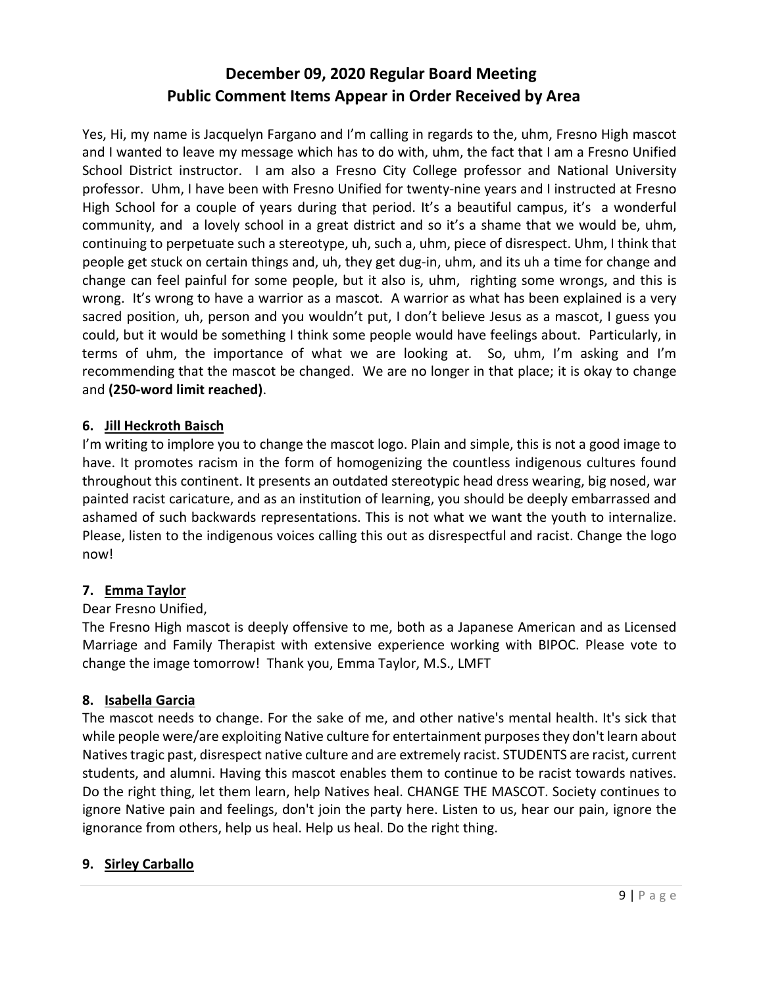Yes, Hi, my name is Jacquelyn Fargano and I'm calling in regards to the, uhm, Fresno High mascot and I wanted to leave my message which has to do with, uhm, the fact that I am a Fresno Unified School District instructor. I am also a Fresno City College professor and National University professor. Uhm, I have been with Fresno Unified for twenty-nine years and I instructed at Fresno High School for a couple of years during that period. It's a beautiful campus, it's a wonderful community, and a lovely school in a great district and so it's a shame that we would be, uhm, continuing to perpetuate such a stereotype, uh, such a, uhm, piece of disrespect. Uhm, I think that people get stuck on certain things and, uh, they get dug-in, uhm, and its uh a time for change and change can feel painful for some people, but it also is, uhm, righting some wrongs, and this is wrong. It's wrong to have a warrior as a mascot. A warrior as what has been explained is a very sacred position, uh, person and you wouldn't put, I don't believe Jesus as a mascot, I guess you could, but it would be something I think some people would have feelings about. Particularly, in terms of uhm, the importance of what we are looking at. So, uhm, I'm asking and I'm recommending that the mascot be changed. We are no longer in that place; it is okay to change and **(250-word limit reached)**.

## **6. Jill Heckroth Baisch**

I'm writing to implore you to change the mascot logo. Plain and simple, this is not a good image to have. It promotes racism in the form of homogenizing the countless indigenous cultures found throughout this continent. It presents an outdated stereotypic head dress wearing, big nosed, war painted racist caricature, and as an institution of learning, you should be deeply embarrassed and ashamed of such backwards representations. This is not what we want the youth to internalize. Please, listen to the indigenous voices calling this out as disrespectful and racist. Change the logo now!

#### **7. Emma Taylor**

## Dear Fresno Unified,

The Fresno High mascot is deeply offensive to me, both as a Japanese American and as Licensed Marriage and Family Therapist with extensive experience working with BIPOC. Please vote to change the image tomorrow! Thank you, Emma Taylor, M.S., LMFT

## **8. Isabella Garcia**

The mascot needs to change. For the sake of me, and other native's mental health. It's sick that while people were/are exploiting Native culture for entertainment purposes they don't learn about Natives tragic past, disrespect native culture and are extremely racist. STUDENTS are racist, current students, and alumni. Having this mascot enables them to continue to be racist towards natives. Do the right thing, let them learn, help Natives heal. CHANGE THE MASCOT. Society continues to ignore Native pain and feelings, don't join the party here. Listen to us, hear our pain, ignore the ignorance from others, help us heal. Help us heal. Do the right thing.

## **9. Sirley Carballo**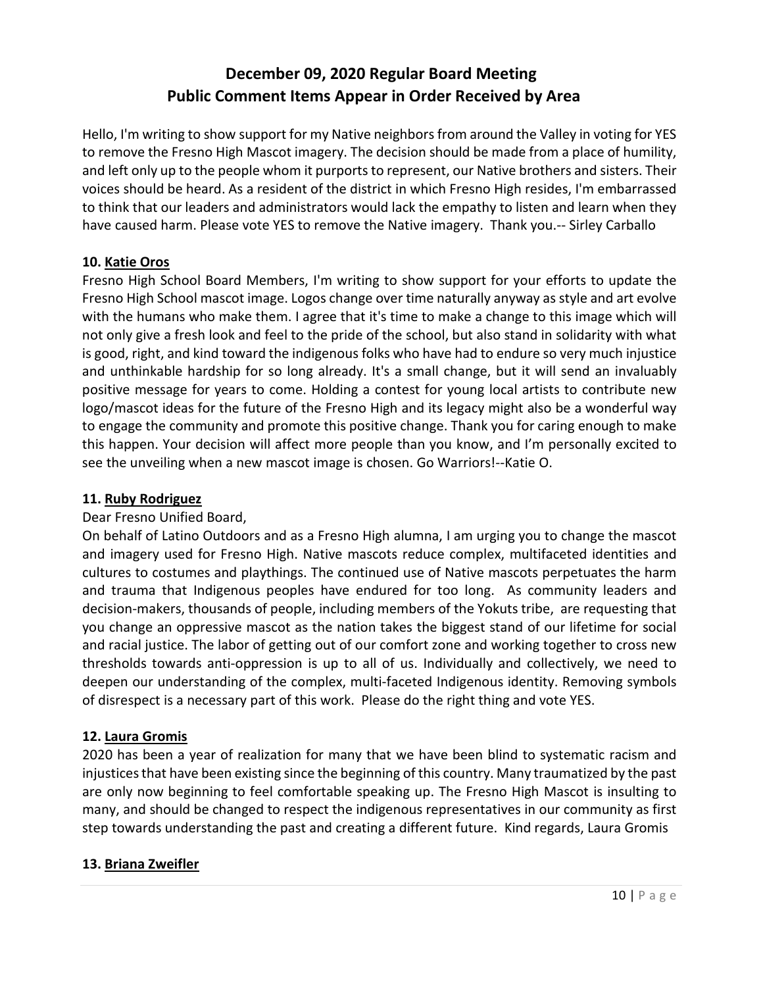Hello, I'm writing to show support for my Native neighbors from around the Valley in voting for YES to remove the Fresno High Mascot imagery. The decision should be made from a place of humility, and left only up to the people whom it purports to represent, our Native brothers and sisters. Their voices should be heard. As a resident of the district in which Fresno High resides, I'm embarrassed to think that our leaders and administrators would lack the empathy to listen and learn when they have caused harm. Please vote YES to remove the Native imagery. Thank you.-- Sirley Carballo

## **10. Katie Oros**

Fresno High School Board Members, I'm writing to show support for your efforts to update the Fresno High School mascot image. Logos change over time naturally anyway as style and art evolve with the humans who make them. I agree that it's time to make a change to this image which will not only give a fresh look and feel to the pride of the school, but also stand in solidarity with what is good, right, and kind toward the indigenous folks who have had to endure so very much injustice and unthinkable hardship for so long already. It's a small change, but it will send an invaluably positive message for years to come. Holding a contest for young local artists to contribute new logo/mascot ideas for the future of the Fresno High and its legacy might also be a wonderful way to engage the community and promote this positive change. Thank you for caring enough to make this happen. Your decision will affect more people than you know, and I'm personally excited to see the unveiling when a new mascot image is chosen. Go Warriors!--Katie O.

## **11. Ruby Rodriguez**

## Dear Fresno Unified Board,

On behalf of Latino Outdoors and as a Fresno High alumna, I am urging you to change the mascot and imagery used for Fresno High. Native mascots reduce complex, multifaceted identities and cultures to costumes and playthings. The continued use of Native mascots perpetuates the harm and trauma that Indigenous peoples have endured for too long. As community leaders and decision-makers, thousands of people, including members of the Yokuts tribe, are requesting that you change an oppressive mascot as the nation takes the biggest stand of our lifetime for social and racial justice. The labor of getting out of our comfort zone and working together to cross new thresholds towards anti-oppression is up to all of us. Individually and collectively, we need to deepen our understanding of the complex, multi-faceted Indigenous identity. Removing symbols of disrespect is a necessary part of this work. Please do the right thing and vote YES.

## **12. Laura Gromis**

2020 has been a year of realization for many that we have been blind to systematic racism and injustices that have been existing since the beginning of this country. Many traumatized by the past are only now beginning to feel comfortable speaking up. The Fresno High Mascot is insulting to many, and should be changed to respect the indigenous representatives in our community as first step towards understanding the past and creating a different future. Kind regards, Laura Gromis

## **13. Briana Zweifler**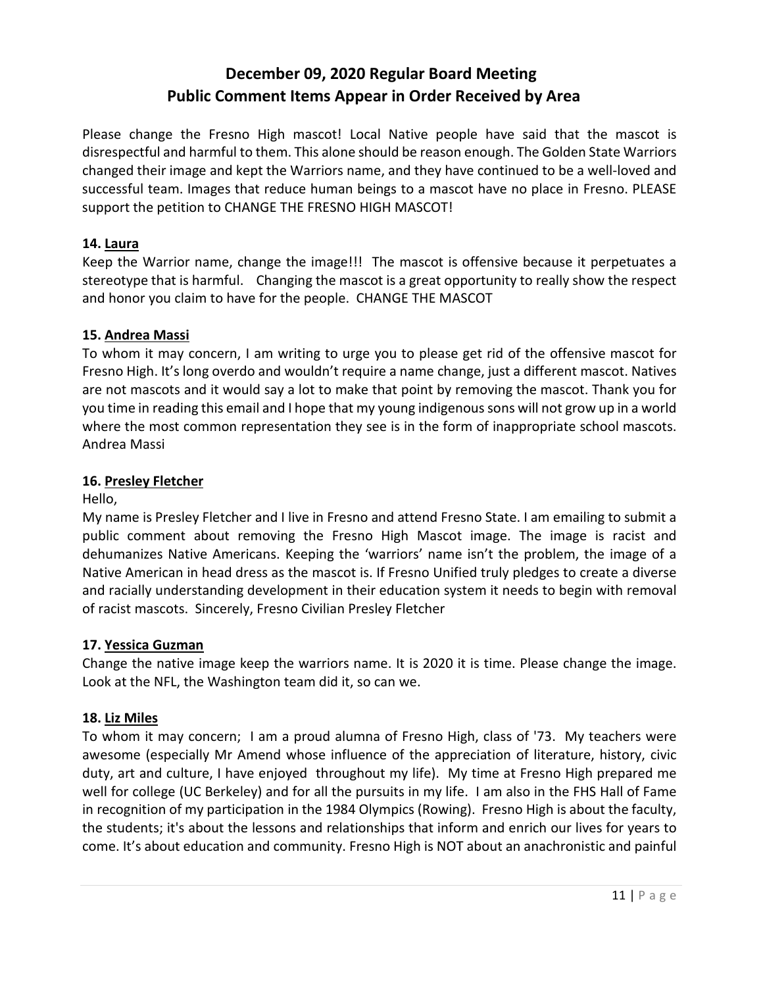Please change the Fresno High mascot! Local Native people have said that the mascot is disrespectful and harmful to them. This alone should be reason enough. The Golden State Warriors changed their image and kept the Warriors name, and they have continued to be a well-loved and successful team. Images that reduce human beings to a mascot have no place in Fresno. PLEASE support the petition to CHANGE THE FRESNO HIGH MASCOT!

## **14. Laura**

Keep the Warrior name, change the image!!! The mascot is offensive because it perpetuates a stereotype that is harmful. Changing the mascot is a great opportunity to really show the respect and honor you claim to have for the people. CHANGE THE MASCOT

## **15. Andrea Massi**

To whom it may concern, I am writing to urge you to please get rid of the offensive mascot for Fresno High. It's long overdo and wouldn't require a name change, just a different mascot. Natives are not mascots and it would say a lot to make that point by removing the mascot. Thank you for you time in reading this email and I hope that my young indigenous sons will not grow up in a world where the most common representation they see is in the form of inappropriate school mascots. Andrea Massi

## **16. Presley Fletcher**

Hello,

My name is Presley Fletcher and I live in Fresno and attend Fresno State. I am emailing to submit a public comment about removing the Fresno High Mascot image. The image is racist and dehumanizes Native Americans. Keeping the 'warriors' name isn't the problem, the image of a Native American in head dress as the mascot is. If Fresno Unified truly pledges to create a diverse and racially understanding development in their education system it needs to begin with removal of racist mascots. Sincerely, Fresno Civilian Presley Fletcher

## **17. Yessica Guzman**

Change the native image keep the warriors name. It is 2020 it is time. Please change the image. Look at the NFL, the Washington team did it, so can we.

## **18. Liz Miles**

To whom it may concern; I am a proud alumna of Fresno High, class of '73. My teachers were awesome (especially Mr Amend whose influence of the appreciation of literature, history, civic duty, art and culture, I have enjoyed throughout my life). My time at Fresno High prepared me well for college (UC Berkeley) and for all the pursuits in my life. I am also in the FHS Hall of Fame in recognition of my participation in the 1984 Olympics (Rowing). Fresno High is about the faculty, the students; it's about the lessons and relationships that inform and enrich our lives for years to come. It's about education and community. Fresno High is NOT about an anachronistic and painful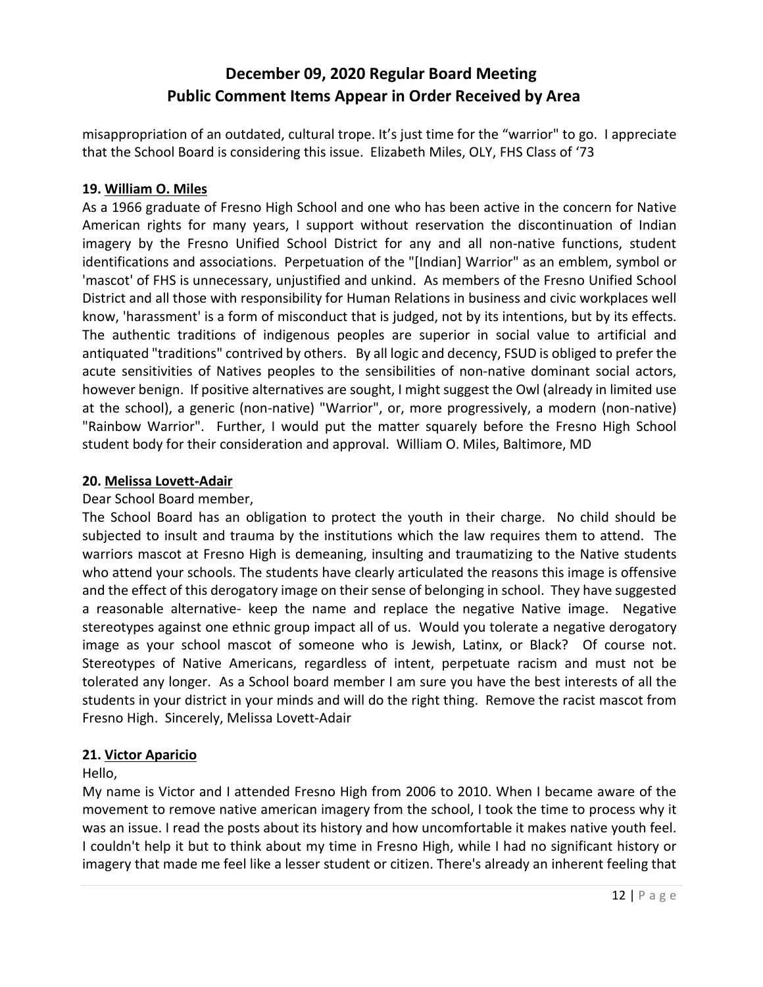misappropriation of an outdated, cultural trope. It's just time for the "warrior" to go. I appreciate that the School Board is considering this issue. Elizabeth Miles, OLY, FHS Class of '73

## **19. William O. Miles**

As a 1966 graduate of Fresno High School and one who has been active in the concern for Native American rights for many years, I support without reservation the discontinuation of Indian imagery by the Fresno Unified School District for any and all non-native functions, student identifications and associations. Perpetuation of the "[Indian] Warrior" as an emblem, symbol or 'mascot' of FHS is unnecessary, unjustified and unkind. As members of the Fresno Unified School District and all those with responsibility for Human Relations in business and civic workplaces well know, 'harassment' is a form of misconduct that is judged, not by its intentions, but by its effects. The authentic traditions of indigenous peoples are superior in social value to artificial and antiquated "traditions" contrived by others. By all logic and decency, FSUD is obliged to prefer the acute sensitivities of Natives peoples to the sensibilities of non-native dominant social actors, however benign. If positive alternatives are sought, I might suggest the Owl (already in limited use at the school), a generic (non-native) "Warrior", or, more progressively, a modern (non-native) "Rainbow Warrior". Further, I would put the matter squarely before the Fresno High School student body for their consideration and approval. William O. Miles, Baltimore, MD

#### **20. Melissa Lovett-Adair**

### Dear School Board member,

The School Board has an obligation to protect the youth in their charge. No child should be subjected to insult and trauma by the institutions which the law requires them to attend. The warriors mascot at Fresno High is demeaning, insulting and traumatizing to the Native students who attend your schools. The students have clearly articulated the reasons this image is offensive and the effect of this derogatory image on their sense of belonging in school. They have suggested a reasonable alternative- keep the name and replace the negative Native image. Negative stereotypes against one ethnic group impact all of us. Would you tolerate a negative derogatory image as your school mascot of someone who is Jewish, Latinx, or Black? Of course not. Stereotypes of Native Americans, regardless of intent, perpetuate racism and must not be tolerated any longer. As a School board member I am sure you have the best interests of all the students in your district in your minds and will do the right thing. Remove the racist mascot from Fresno High. Sincerely, Melissa Lovett-Adair

## **21. Victor Aparicio**

#### Hello,

My name is Victor and I attended Fresno High from 2006 to 2010. When I became aware of the movement to remove native american imagery from the school, I took the time to process why it was an issue. I read the posts about its history and how uncomfortable it makes native youth feel. I couldn't help it but to think about my time in Fresno High, while I had no significant history or imagery that made me feel like a lesser student or citizen. There's already an inherent feeling that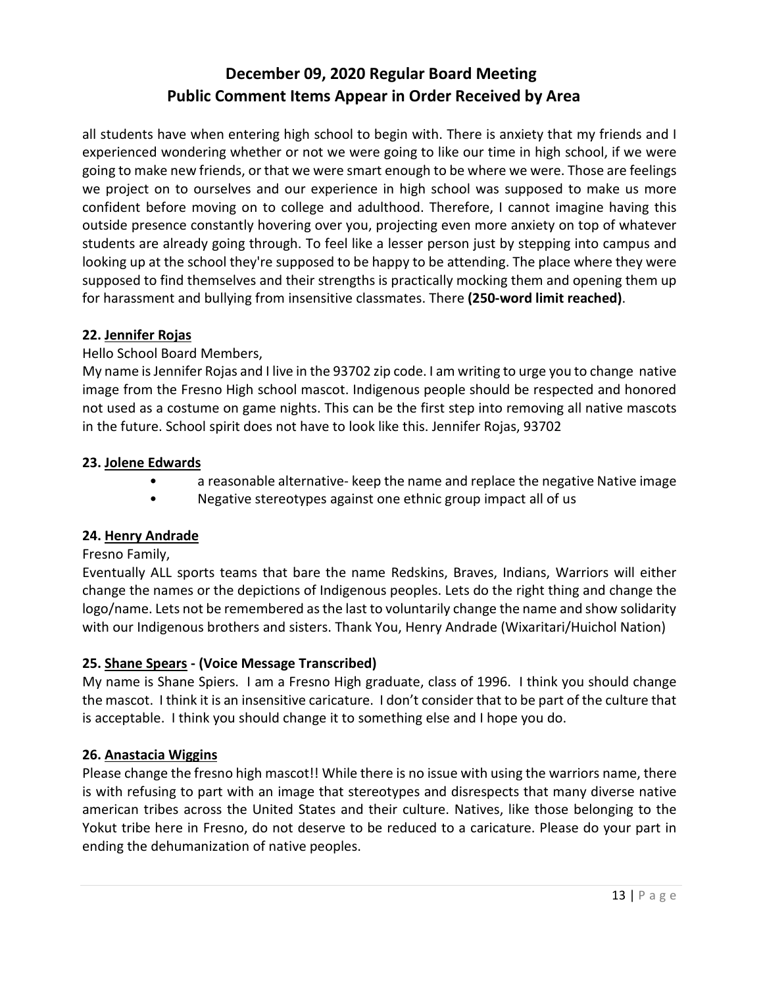all students have when entering high school to begin with. There is anxiety that my friends and I experienced wondering whether or not we were going to like our time in high school, if we were going to make new friends, or that we were smart enough to be where we were. Those are feelings we project on to ourselves and our experience in high school was supposed to make us more confident before moving on to college and adulthood. Therefore, I cannot imagine having this outside presence constantly hovering over you, projecting even more anxiety on top of whatever students are already going through. To feel like a lesser person just by stepping into campus and looking up at the school they're supposed to be happy to be attending. The place where they were supposed to find themselves and their strengths is practically mocking them and opening them up for harassment and bullying from insensitive classmates. There **(250-word limit reached)**.

#### **22. Jennifer Rojas**

#### Hello School Board Members,

My name is Jennifer Rojas and I live in the 93702 zip code. I am writing to urge you to change native image from the Fresno High school mascot. Indigenous people should be respected and honored not used as a costume on game nights. This can be the first step into removing all native mascots in the future. School spirit does not have to look like this. Jennifer Rojas, 93702

#### **23. Jolene Edwards**

- a reasonable alternative- keep the name and replace the negative Native image
- Negative stereotypes against one ethnic group impact all of us

#### **24. Henry Andrade**

#### Fresno Family,

Eventually ALL sports teams that bare the name Redskins, Braves, Indians, Warriors will either change the names or the depictions of Indigenous peoples. Lets do the right thing and change the logo/name. Lets not be remembered as the last to voluntarily change the name and show solidarity with our Indigenous brothers and sisters. Thank You, Henry Andrade (Wixaritari/Huichol Nation)

#### **25. Shane Spears - (Voice Message Transcribed)**

My name is Shane Spiers. I am a Fresno High graduate, class of 1996. I think you should change the mascot. I think it is an insensitive caricature. I don't consider that to be part of the culture that is acceptable. I think you should change it to something else and I hope you do.

#### **26. Anastacia Wiggins**

Please change the fresno high mascot!! While there is no issue with using the warriors name, there is with refusing to part with an image that stereotypes and disrespects that many diverse native american tribes across the United States and their culture. Natives, like those belonging to the Yokut tribe here in Fresno, do not deserve to be reduced to a caricature. Please do your part in ending the dehumanization of native peoples.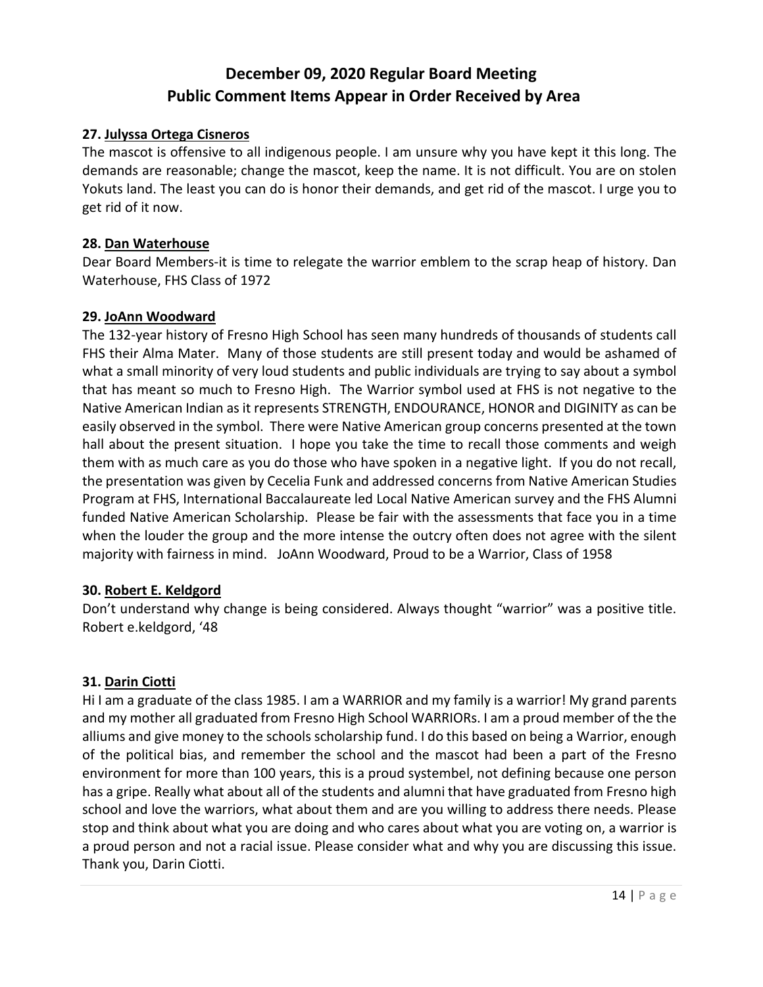#### **27. Julyssa Ortega Cisneros**

The mascot is offensive to all indigenous people. I am unsure why you have kept it this long. The demands are reasonable; change the mascot, keep the name. It is not difficult. You are on stolen Yokuts land. The least you can do is honor their demands, and get rid of the mascot. I urge you to get rid of it now.

#### **28. Dan Waterhouse**

Dear Board Members-it is time to relegate the warrior emblem to the scrap heap of history. Dan Waterhouse, FHS Class of 1972

#### **29. JoAnn Woodward**

The 132-year history of Fresno High School has seen many hundreds of thousands of students call FHS their Alma Mater. Many of those students are still present today and would be ashamed of what a small minority of very loud students and public individuals are trying to say about a symbol that has meant so much to Fresno High. The Warrior symbol used at FHS is not negative to the Native American Indian as it represents STRENGTH, ENDOURANCE, HONOR and DIGINITY as can be easily observed in the symbol. There were Native American group concerns presented at the town hall about the present situation. I hope you take the time to recall those comments and weigh them with as much care as you do those who have spoken in a negative light. If you do not recall, the presentation was given by Cecelia Funk and addressed concerns from Native American Studies Program at FHS, International Baccalaureate led Local Native American survey and the FHS Alumni funded Native American Scholarship. Please be fair with the assessments that face you in a time when the louder the group and the more intense the outcry often does not agree with the silent majority with fairness in mind. JoAnn Woodward, Proud to be a Warrior, Class of 1958

#### **30. Robert E. Keldgord**

Don't understand why change is being considered. Always thought "warrior" was a positive title. Robert e.keldgord, '48

#### **31. Darin Ciotti**

Hi I am a graduate of the class 1985. I am a WARRIOR and my family is a warrior! My grand parents and my mother all graduated from Fresno High School WARRIORs. I am a proud member of the the alliums and give money to the schools scholarship fund. I do this based on being a Warrior, enough of the political bias, and remember the school and the mascot had been a part of the Fresno environment for more than 100 years, this is a proud systembel, not defining because one person has a gripe. Really what about all of the students and alumni that have graduated from Fresno high school and love the warriors, what about them and are you willing to address there needs. Please stop and think about what you are doing and who cares about what you are voting on, a warrior is a proud person and not a racial issue. Please consider what and why you are discussing this issue. Thank you, Darin Ciotti.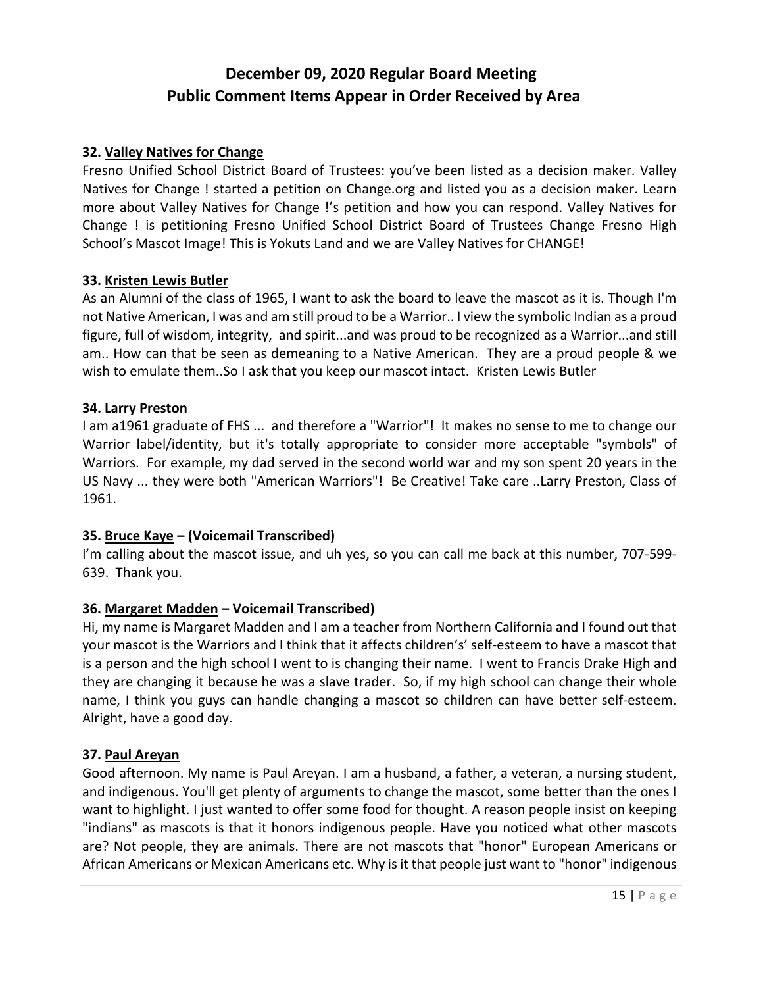#### **32. Valley Natives for Change**

Fresno Unified School District Board of Trustees: you've been listed as a decision maker. Valley Natives for Change ! started a petition on Change.org and listed you as a decision maker. Learn more about Valley Natives for Change !'s petition and how you can respond. Valley Natives for Change ! is petitioning Fresno Unified School District Board of Trustees Change Fresno High School's Mascot Image! This is Yokuts Land and we are Valley Natives for CHANGE!

#### **33. Kristen Lewis Butler**

As an Alumni of the class of 1965, I want to ask the board to leave the mascot as it is. Though I'm not Native American, I was and am still proud to be a Warrior.. I view the symbolic Indian as a proud figure, full of wisdom, integrity, and spirit...and was proud to be recognized as a Warrior...and still am.. How can that be seen as demeaning to a Native American. They are a proud people & we wish to emulate them..So I ask that you keep our mascot intact. Kristen Lewis Butler

#### **34. Larry Preston**

I am a1961 graduate of FHS ... and therefore a "Warrior"! It makes no sense to me to change our Warrior label/identity, but it's totally appropriate to consider more acceptable "symbols" of Warriors. For example, my dad served in the second world war and my son spent 20 years in the US Navy ... they were both "American Warriors"! Be Creative! Take care ..Larry Preston, Class of 1961.

## **35. Bruce Kaye – (Voicemail Transcribed)**

I'm calling about the mascot issue, and uh yes, so you can call me back at this number, 707-599-639. Thank you.

#### **36. Margaret Madden – Voicemail Transcribed)**

Hi, my name is Margaret Madden and I am a teacher from Northern California and I found out that your mascot is the Warriors and I think that it affects children's' self-esteem to have a mascot that is a person and the high school I went to is changing their name. I went to Francis Drake High and they are changing it because he was a slave trader. So, if my high school can change their whole name, I think you guys can handle changing a mascot so children can have better self-esteem. Alright, have a good day.

#### **37. Paul Areyan**

Good afternoon. My name is Paul Areyan. I am a husband, a father, a veteran, a nursing student, and indigenous. You'll get plenty of arguments to change the mascot, some better than the ones I want to highlight. I just wanted to offer some food for thought. A reason people insist on keeping "indians" as mascots is that it honors indigenous people. Have you noticed what other mascots are? Not people, they are animals. There are not mascots that "honor" European Americans or African Americans or Mexican Americans etc. Why is it that people just want to "honor" indigenous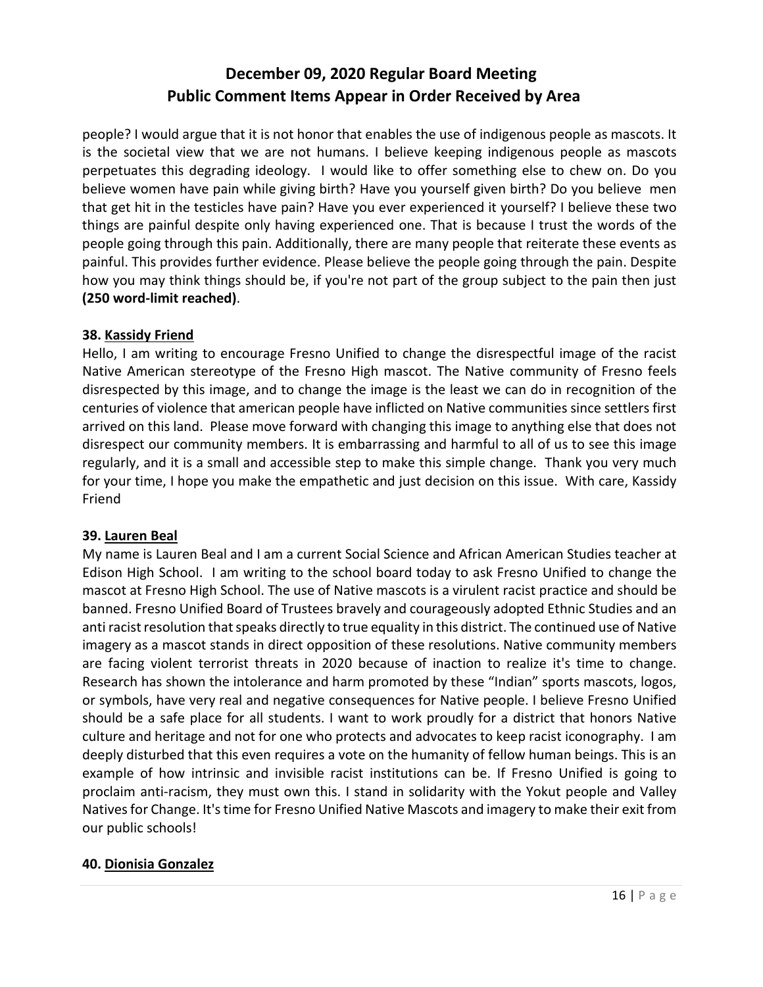people? I would argue that it is not honor that enables the use of indigenous people as mascots. It is the societal view that we are not humans. I believe keeping indigenous people as mascots perpetuates this degrading ideology. I would like to offer something else to chew on. Do you believe women have pain while giving birth? Have you yourself given birth? Do you believe men that get hit in the testicles have pain? Have you ever experienced it yourself? I believe these two things are painful despite only having experienced one. That is because I trust the words of the people going through this pain. Additionally, there are many people that reiterate these events as painful. This provides further evidence. Please believe the people going through the pain. Despite how you may think things should be, if you're not part of the group subject to the pain then just **(250 word-limit reached)**.

#### **38. Kassidy Friend**

Hello, I am writing to encourage Fresno Unified to change the disrespectful image of the racist Native American stereotype of the Fresno High mascot. The Native community of Fresno feels disrespected by this image, and to change the image is the least we can do in recognition of the centuries of violence that american people have inflicted on Native communities since settlers first arrived on this land. Please move forward with changing this image to anything else that does not disrespect our community members. It is embarrassing and harmful to all of us to see this image regularly, and it is a small and accessible step to make this simple change. Thank you very much for your time, I hope you make the empathetic and just decision on this issue. With care, Kassidy Friend

#### **39. Lauren Beal**

My name is Lauren Beal and I am a current Social Science and African American Studies teacher at Edison High School. I am writing to the school board today to ask Fresno Unified to change the mascot at Fresno High School. The use of Native mascots is a virulent racist practice and should be banned. Fresno Unified Board of Trustees bravely and courageously adopted Ethnic Studies and an anti racist resolution that speaks directly to true equality in this district. The continued use of Native imagery as a mascot stands in direct opposition of these resolutions. Native community members are facing violent terrorist threats in 2020 because of inaction to realize it's time to change. Research has shown the intolerance and harm promoted by these "Indian" sports mascots, logos, or symbols, have very real and negative consequences for Native people. I believe Fresno Unified should be a safe place for all students. I want to work proudly for a district that honors Native culture and heritage and not for one who protects and advocates to keep racist iconography. I am deeply disturbed that this even requires a vote on the humanity of fellow human beings. This is an example of how intrinsic and invisible racist institutions can be. If Fresno Unified is going to proclaim anti-racism, they must own this. I stand in solidarity with the Yokut people and Valley Natives for Change. It's time for Fresno Unified Native Mascots and imagery to make their exit from our public schools!

#### **40. Dionisia Gonzalez**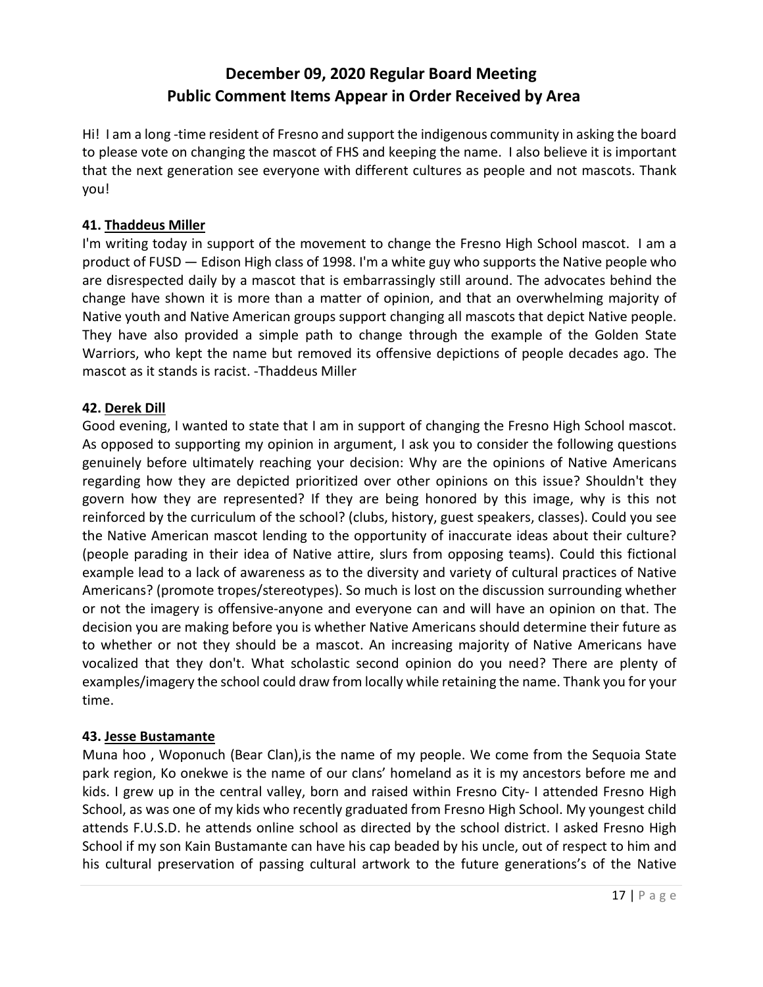Hi! I am a long -time resident of Fresno and support the indigenous community in asking the board to please vote on changing the mascot of FHS and keeping the name. I also believe it is important that the next generation see everyone with different cultures as people and not mascots. Thank you!

## **41. Thaddeus Miller**

I'm writing today in support of the movement to change the Fresno High School mascot. I am a product of FUSD — Edison High class of 1998. I'm a white guy who supports the Native people who are disrespected daily by a mascot that is embarrassingly still around. The advocates behind the change have shown it is more than a matter of opinion, and that an overwhelming majority of Native youth and Native American groups support changing all mascots that depict Native people. They have also provided a simple path to change through the example of the Golden State Warriors, who kept the name but removed its offensive depictions of people decades ago. The mascot as it stands is racist. -Thaddeus Miller

## **42. Derek Dill**

Good evening, I wanted to state that I am in support of changing the Fresno High School mascot. As opposed to supporting my opinion in argument, I ask you to consider the following questions genuinely before ultimately reaching your decision: Why are the opinions of Native Americans regarding how they are depicted prioritized over other opinions on this issue? Shouldn't they govern how they are represented? If they are being honored by this image, why is this not reinforced by the curriculum of the school? (clubs, history, guest speakers, classes). Could you see the Native American mascot lending to the opportunity of inaccurate ideas about their culture? (people parading in their idea of Native attire, slurs from opposing teams). Could this fictional example lead to a lack of awareness as to the diversity and variety of cultural practices of Native Americans? (promote tropes/stereotypes). So much is lost on the discussion surrounding whether or not the imagery is offensive-anyone and everyone can and will have an opinion on that. The decision you are making before you is whether Native Americans should determine their future as to whether or not they should be a mascot. An increasing majority of Native Americans have vocalized that they don't. What scholastic second opinion do you need? There are plenty of examples/imagery the school could draw from locally while retaining the name. Thank you for your time.

## **43. Jesse Bustamante**

Muna hoo , Woponuch (Bear Clan),is the name of my people. We come from the Sequoia State park region, Ko onekwe is the name of our clans' homeland as it is my ancestors before me and kids. I grew up in the central valley, born and raised within Fresno City- I attended Fresno High School, as was one of my kids who recently graduated from Fresno High School. My youngest child attends F.U.S.D. he attends online school as directed by the school district. I asked Fresno High School if my son Kain Bustamante can have his cap beaded by his uncle, out of respect to him and his cultural preservation of passing cultural artwork to the future generations's of the Native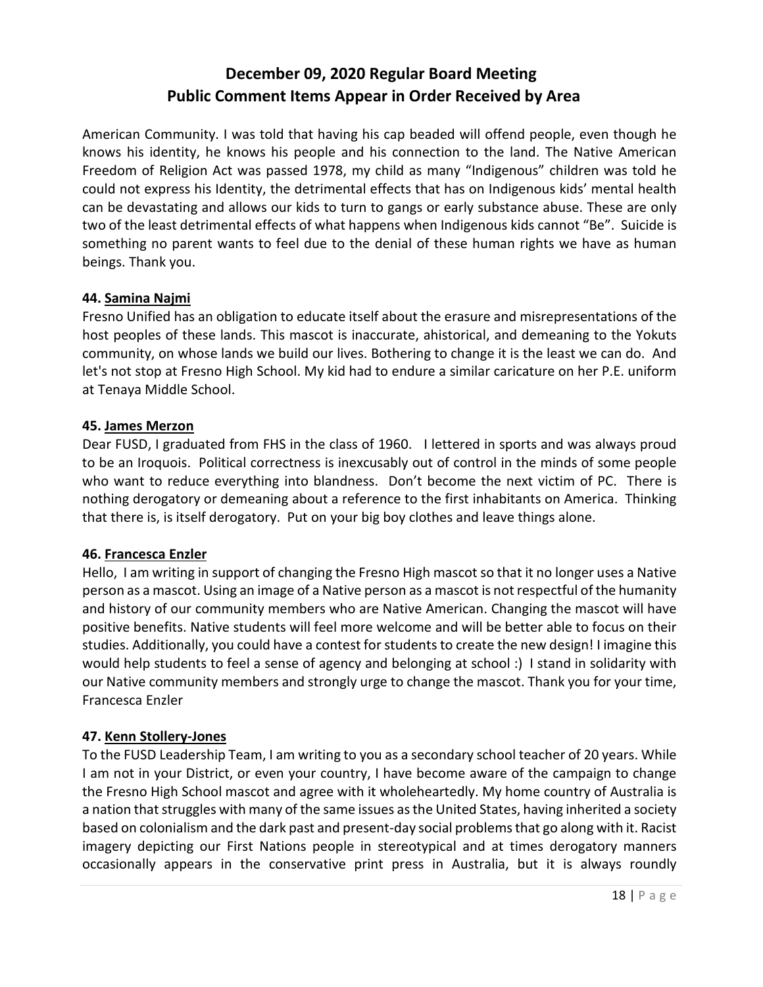American Community. I was told that having his cap beaded will offend people, even though he knows his identity, he knows his people and his connection to the land. The Native American Freedom of Religion Act was passed 1978, my child as many "Indigenous" children was told he could not express his Identity, the detrimental effects that has on Indigenous kids' mental health can be devastating and allows our kids to turn to gangs or early substance abuse. These are only two of the least detrimental effects of what happens when Indigenous kids cannot "Be". Suicide is something no parent wants to feel due to the denial of these human rights we have as human beings. Thank you.

#### **44. Samina Najmi**

Fresno Unified has an obligation to educate itself about the erasure and misrepresentations of the host peoples of these lands. This mascot is inaccurate, ahistorical, and demeaning to the Yokuts community, on whose lands we build our lives. Bothering to change it is the least we can do. And let's not stop at Fresno High School. My kid had to endure a similar caricature on her P.E. uniform at Tenaya Middle School.

#### **45. James Merzon**

Dear FUSD, I graduated from FHS in the class of 1960. I lettered in sports and was always proud to be an Iroquois. Political correctness is inexcusably out of control in the minds of some people who want to reduce everything into blandness. Don't become the next victim of PC. There is nothing derogatory or demeaning about a reference to the first inhabitants on America. Thinking that there is, is itself derogatory. Put on your big boy clothes and leave things alone.

## **46. Francesca Enzler**

Hello, I am writing in support of changing the Fresno High mascot so that it no longer uses a Native person as a mascot. Using an image of a Native person as a mascot is not respectful of the humanity and history of our community members who are Native American. Changing the mascot will have positive benefits. Native students will feel more welcome and will be better able to focus on their studies. Additionally, you could have a contest for students to create the new design! I imagine this would help students to feel a sense of agency and belonging at school :) I stand in solidarity with our Native community members and strongly urge to change the mascot. Thank you for your time, Francesca Enzler

## **47. Kenn Stollery-Jones**

To the FUSD Leadership Team, I am writing to you as a secondary school teacher of 20 years. While I am not in your District, or even your country, I have become aware of the campaign to change the Fresno High School mascot and agree with it wholeheartedly. My home country of Australia is a nation that struggles with many of the same issues as the United States, having inherited a society based on colonialism and the dark past and present-day social problems that go along with it. Racist imagery depicting our First Nations people in stereotypical and at times derogatory manners occasionally appears in the conservative print press in Australia, but it is always roundly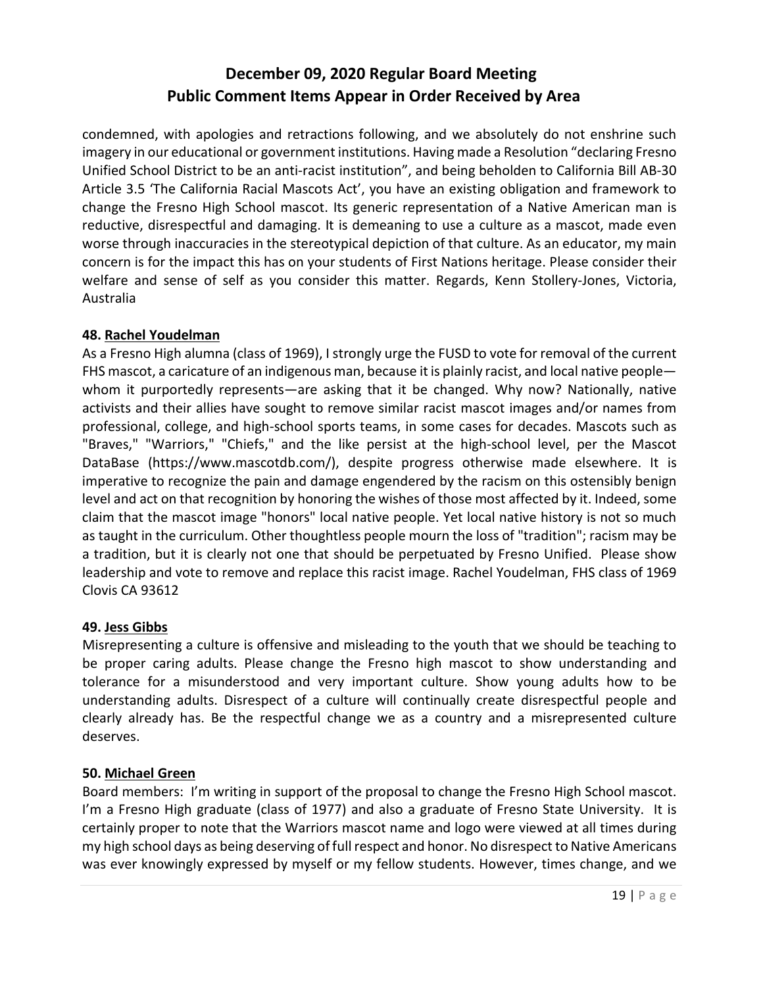condemned, with apologies and retractions following, and we absolutely do not enshrine such imagery in our educational or government institutions. Having made a Resolution "declaring Fresno Unified School District to be an anti-racist institution", and being beholden to California Bill AB-30 Article 3.5 'The California Racial Mascots Act', you have an existing obligation and framework to change the Fresno High School mascot. Its generic representation of a Native American man is reductive, disrespectful and damaging. It is demeaning to use a culture as a mascot, made even worse through inaccuracies in the stereotypical depiction of that culture. As an educator, my main concern is for the impact this has on your students of First Nations heritage. Please consider their welfare and sense of self as you consider this matter. Regards, Kenn Stollery-Jones, Victoria, Australia

#### **48. Rachel Youdelman**

As a Fresno High alumna (class of 1969), I strongly urge the FUSD to vote for removal of the current FHS mascot, a caricature of an indigenous man, because it is plainly racist, and local native people whom it purportedly represents—are asking that it be changed. Why now? Nationally, native activists and their allies have sought to remove similar racist mascot images and/or names from professional, college, and high-school sports teams, in some cases for decades. Mascots such as "Braves," "Warriors," "Chiefs," and the like persist at the high-school level, per the Mascot DataBase (https://www.mascotdb.com/), despite progress otherwise made elsewhere. It is imperative to recognize the pain and damage engendered by the racism on this ostensibly benign level and act on that recognition by honoring the wishes of those most affected by it. Indeed, some claim that the mascot image "honors" local native people. Yet local native history is not so much as taught in the curriculum. Other thoughtless people mourn the loss of "tradition"; racism may be a tradition, but it is clearly not one that should be perpetuated by Fresno Unified. Please show leadership and vote to remove and replace this racist image. Rachel Youdelman, FHS class of 1969 Clovis CA 93612

#### **49. Jess Gibbs**

Misrepresenting a culture is offensive and misleading to the youth that we should be teaching to be proper caring adults. Please change the Fresno high mascot to show understanding and tolerance for a misunderstood and very important culture. Show young adults how to be understanding adults. Disrespect of a culture will continually create disrespectful people and clearly already has. Be the respectful change we as a country and a misrepresented culture deserves.

#### **50. Michael Green**

Board members: I'm writing in support of the proposal to change the Fresno High School mascot. I'm a Fresno High graduate (class of 1977) and also a graduate of Fresno State University. It is certainly proper to note that the Warriors mascot name and logo were viewed at all times during my high school days as being deserving of full respect and honor. No disrespect to Native Americans was ever knowingly expressed by myself or my fellow students. However, times change, and we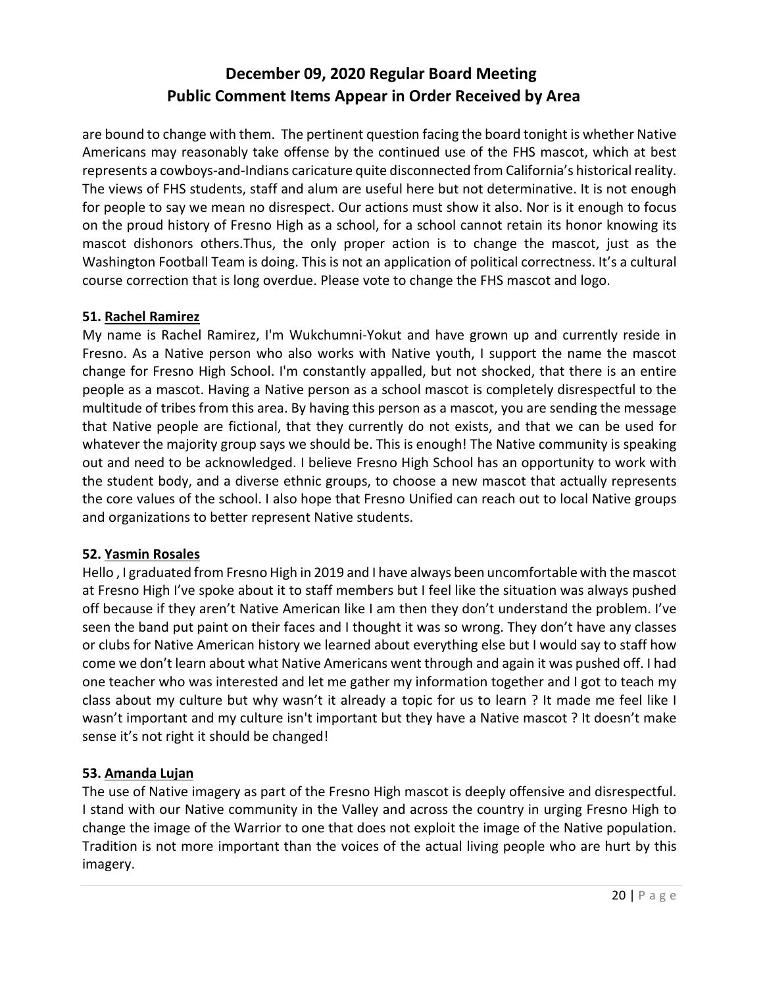are bound to change with them. The pertinent question facing the board tonight is whether Native Americans may reasonably take offense by the continued use of the FHS mascot, which at best represents a cowboys-and-Indians caricature quite disconnected from California's historical reality. The views of FHS students, staff and alum are useful here but not determinative. It is not enough for people to say we mean no disrespect. Our actions must show it also. Nor is it enough to focus on the proud history of Fresno High as a school, for a school cannot retain its honor knowing its mascot dishonors others.Thus, the only proper action is to change the mascot, just as the Washington Football Team is doing. This is not an application of political correctness. It's a cultural course correction that is long overdue. Please vote to change the FHS mascot and logo.

#### **51. Rachel Ramirez**

My name is Rachel Ramirez, I'm Wukchumni-Yokut and have grown up and currently reside in Fresno. As a Native person who also works with Native youth, I support the name the mascot change for Fresno High School. I'm constantly appalled, but not shocked, that there is an entire people as a mascot. Having a Native person as a school mascot is completely disrespectful to the multitude of tribes from this area. By having this person as a mascot, you are sending the message that Native people are fictional, that they currently do not exists, and that we can be used for whatever the majority group says we should be. This is enough! The Native community is speaking out and need to be acknowledged. I believe Fresno High School has an opportunity to work with the student body, and a diverse ethnic groups, to choose a new mascot that actually represents the core values of the school. I also hope that Fresno Unified can reach out to local Native groups and organizations to better represent Native students.

## **52. Yasmin Rosales**

Hello , I graduated from Fresno High in 2019 and I have always been uncomfortable with the mascot at Fresno High I've spoke about it to staff members but I feel like the situation was always pushed off because if they aren't Native American like I am then they don't understand the problem. I've seen the band put paint on their faces and I thought it was so wrong. They don't have any classes or clubs for Native American history we learned about everything else but I would say to staff how come we don't learn about what Native Americans went through and again it was pushed off. I had one teacher who was interested and let me gather my information together and I got to teach my class about my culture but why wasn't it already a topic for us to learn ? It made me feel like I wasn't important and my culture isn't important but they have a Native mascot ? It doesn't make sense it's not right it should be changed!

## **53. Amanda Lujan**

The use of Native imagery as part of the Fresno High mascot is deeply offensive and disrespectful. I stand with our Native community in the Valley and across the country in urging Fresno High to change the image of the Warrior to one that does not exploit the image of the Native population. Tradition is not more important than the voices of the actual living people who are hurt by this imagery.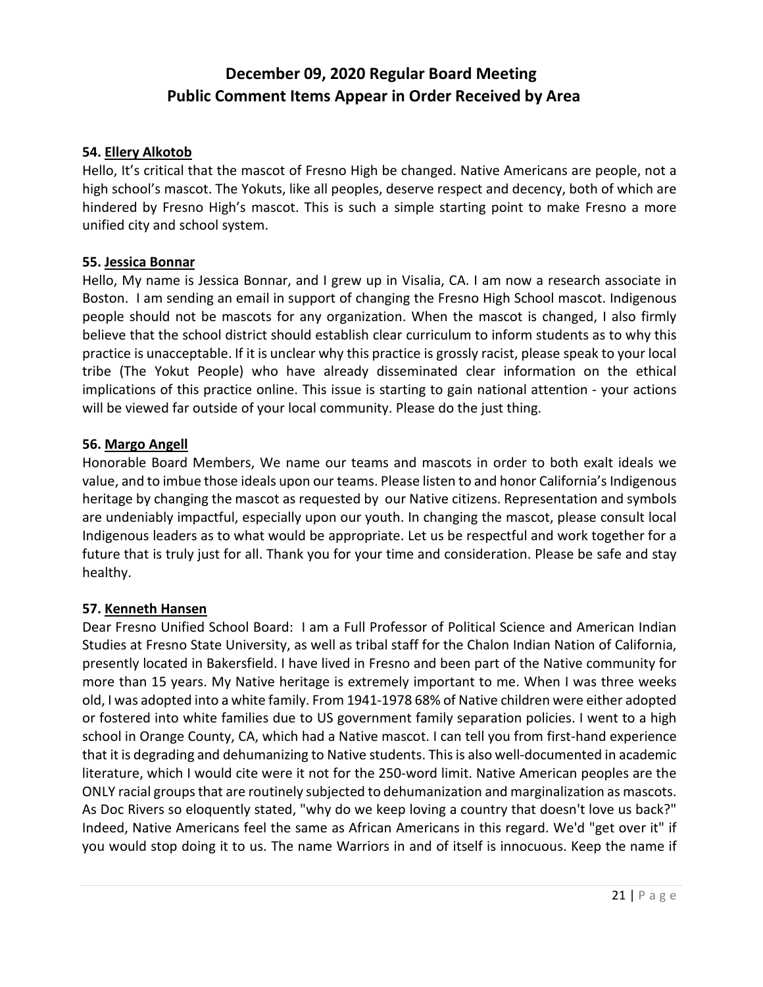#### **54. Ellery Alkotob**

Hello, It's critical that the mascot of Fresno High be changed. Native Americans are people, not a high school's mascot. The Yokuts, like all peoples, deserve respect and decency, both of which are hindered by Fresno High's mascot. This is such a simple starting point to make Fresno a more unified city and school system.

#### **55. Jessica Bonnar**

Hello, My name is Jessica Bonnar, and I grew up in Visalia, CA. I am now a research associate in Boston. I am sending an email in support of changing the Fresno High School mascot. Indigenous people should not be mascots for any organization. When the mascot is changed, I also firmly believe that the school district should establish clear curriculum to inform students as to why this practice is unacceptable. If it is unclear why this practice is grossly racist, please speak to your local tribe (The Yokut People) who have already disseminated clear information on the ethical implications of this practice online. This issue is starting to gain national attention - your actions will be viewed far outside of your local community. Please do the just thing.

#### **56. Margo Angell**

Honorable Board Members, We name our teams and mascots in order to both exalt ideals we value, and to imbue those ideals upon our teams. Please listen to and honor California's Indigenous heritage by changing the mascot as requested by our Native citizens. Representation and symbols are undeniably impactful, especially upon our youth. In changing the mascot, please consult local Indigenous leaders as to what would be appropriate. Let us be respectful and work together for a future that is truly just for all. Thank you for your time and consideration. Please be safe and stay healthy.

#### **57. Kenneth Hansen**

Dear Fresno Unified School Board: I am a Full Professor of Political Science and American Indian Studies at Fresno State University, as well as tribal staff for the Chalon Indian Nation of California, presently located in Bakersfield. I have lived in Fresno and been part of the Native community for more than 15 years. My Native heritage is extremely important to me. When I was three weeks old, I was adopted into a white family. From 1941-1978 68% of Native children were either adopted or fostered into white families due to US government family separation policies. I went to a high school in Orange County, CA, which had a Native mascot. I can tell you from first-hand experience that it is degrading and dehumanizing to Native students. This is also well-documented in academic literature, which I would cite were it not for the 250-word limit. Native American peoples are the ONLY racial groups that are routinely subjected to dehumanization and marginalization as mascots. As Doc Rivers so eloquently stated, "why do we keep loving a country that doesn't love us back?" Indeed, Native Americans feel the same as African Americans in this regard. We'd "get over it" if you would stop doing it to us. The name Warriors in and of itself is innocuous. Keep the name if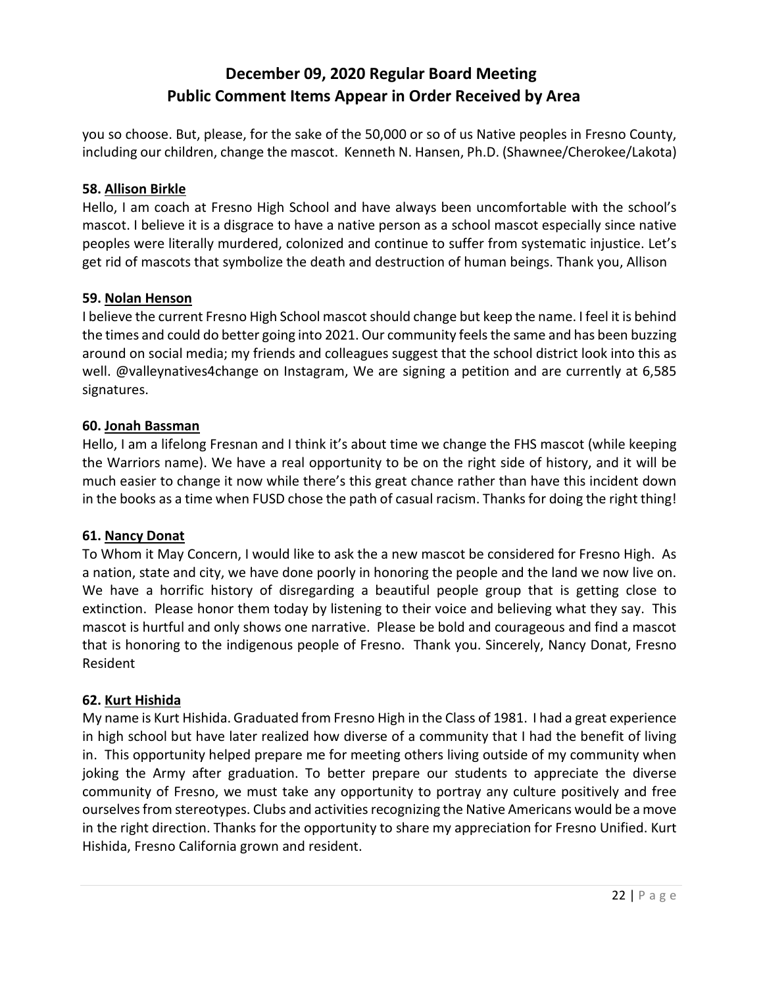you so choose. But, please, for the sake of the 50,000 or so of us Native peoples in Fresno County, including our children, change the mascot. Kenneth N. Hansen, Ph.D. (Shawnee/Cherokee/Lakota)

#### **58. Allison Birkle**

Hello, I am coach at Fresno High School and have always been uncomfortable with the school's mascot. I believe it is a disgrace to have a native person as a school mascot especially since native peoples were literally murdered, colonized and continue to suffer from systematic injustice. Let's get rid of mascots that symbolize the death and destruction of human beings. Thank you, Allison

#### **59. Nolan Henson**

I believe the current Fresno High School mascot should change but keep the name. I feel it is behind the times and could do better going into 2021. Our community feels the same and has been buzzing around on social media; my friends and colleagues suggest that the school district look into this as well. @valleynatives4change on Instagram, We are signing a petition and are currently at 6,585 signatures.

#### **60. Jonah Bassman**

Hello, I am a lifelong Fresnan and I think it's about time we change the FHS mascot (while keeping the Warriors name). We have a real opportunity to be on the right side of history, and it will be much easier to change it now while there's this great chance rather than have this incident down in the books as a time when FUSD chose the path of casual racism. Thanks for doing the right thing!

## **61. Nancy Donat**

To Whom it May Concern, I would like to ask the a new mascot be considered for Fresno High. As a nation, state and city, we have done poorly in honoring the people and the land we now live on. We have a horrific history of disregarding a beautiful people group that is getting close to extinction. Please honor them today by listening to their voice and believing what they say. This mascot is hurtful and only shows one narrative. Please be bold and courageous and find a mascot that is honoring to the indigenous people of Fresno. Thank you. Sincerely, Nancy Donat, Fresno Resident

#### **62. Kurt Hishida**

My name is Kurt Hishida. Graduated from Fresno High in the Class of 1981. I had a great experience in high school but have later realized how diverse of a community that I had the benefit of living in. This opportunity helped prepare me for meeting others living outside of my community when joking the Army after graduation. To better prepare our students to appreciate the diverse community of Fresno, we must take any opportunity to portray any culture positively and free ourselves from stereotypes. Clubs and activities recognizing the Native Americans would be a move in the right direction. Thanks for the opportunity to share my appreciation for Fresno Unified. Kurt Hishida, Fresno California grown and resident.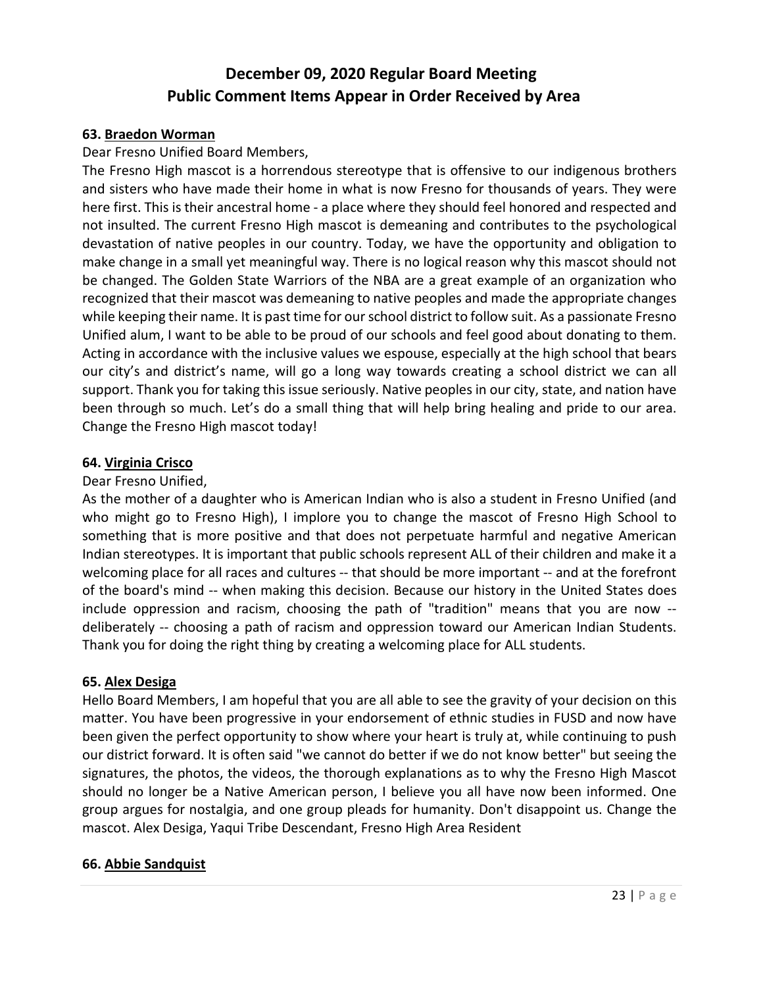#### **63. Braedon Worman**

Dear Fresno Unified Board Members,

The Fresno High mascot is a horrendous stereotype that is offensive to our indigenous brothers and sisters who have made their home in what is now Fresno for thousands of years. They were here first. This is their ancestral home - a place where they should feel honored and respected and not insulted. The current Fresno High mascot is demeaning and contributes to the psychological devastation of native peoples in our country. Today, we have the opportunity and obligation to make change in a small yet meaningful way. There is no logical reason why this mascot should not be changed. The Golden State Warriors of the NBA are a great example of an organization who recognized that their mascot was demeaning to native peoples and made the appropriate changes while keeping their name. It is past time for our school district to follow suit. As a passionate Fresno Unified alum, I want to be able to be proud of our schools and feel good about donating to them. Acting in accordance with the inclusive values we espouse, especially at the high school that bears our city's and district's name, will go a long way towards creating a school district we can all support. Thank you for taking this issue seriously. Native peoples in our city, state, and nation have been through so much. Let's do a small thing that will help bring healing and pride to our area. Change the Fresno High mascot today!

#### **64. Virginia Crisco**

#### Dear Fresno Unified,

As the mother of a daughter who is American Indian who is also a student in Fresno Unified (and who might go to Fresno High), I implore you to change the mascot of Fresno High School to something that is more positive and that does not perpetuate harmful and negative American Indian stereotypes. It is important that public schools represent ALL of their children and make it a welcoming place for all races and cultures -- that should be more important -- and at the forefront of the board's mind -- when making this decision. Because our history in the United States does include oppression and racism, choosing the path of "tradition" means that you are now - deliberately -- choosing a path of racism and oppression toward our American Indian Students. Thank you for doing the right thing by creating a welcoming place for ALL students.

## **65. Alex Desiga**

Hello Board Members, I am hopeful that you are all able to see the gravity of your decision on this matter. You have been progressive in your endorsement of ethnic studies in FUSD and now have been given the perfect opportunity to show where your heart is truly at, while continuing to push our district forward. It is often said "we cannot do better if we do not know better" but seeing the signatures, the photos, the videos, the thorough explanations as to why the Fresno High Mascot should no longer be a Native American person, I believe you all have now been informed. One group argues for nostalgia, and one group pleads for humanity. Don't disappoint us. Change the mascot. Alex Desiga, Yaqui Tribe Descendant, Fresno High Area Resident

#### **66. Abbie Sandquist**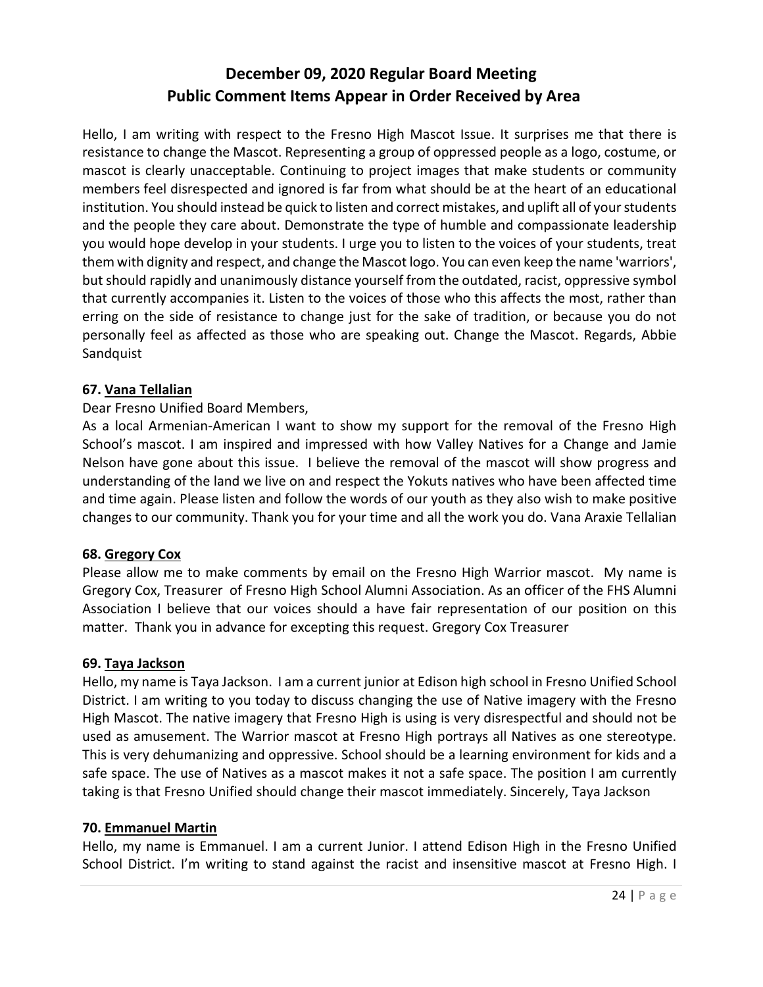Hello, I am writing with respect to the Fresno High Mascot Issue. It surprises me that there is resistance to change the Mascot. Representing a group of oppressed people as a logo, costume, or mascot is clearly unacceptable. Continuing to project images that make students or community members feel disrespected and ignored is far from what should be at the heart of an educational institution. You should instead be quick to listen and correct mistakes, and uplift all of your students and the people they care about. Demonstrate the type of humble and compassionate leadership you would hope develop in your students. I urge you to listen to the voices of your students, treat them with dignity and respect, and change the Mascot logo. You can even keep the name 'warriors', but should rapidly and unanimously distance yourself from the outdated, racist, oppressive symbol that currently accompanies it. Listen to the voices of those who this affects the most, rather than erring on the side of resistance to change just for the sake of tradition, or because you do not personally feel as affected as those who are speaking out. Change the Mascot. Regards, Abbie Sandquist

## **67. Vana Tellalian**

#### Dear Fresno Unified Board Members,

As a local Armenian-American I want to show my support for the removal of the Fresno High School's mascot. I am inspired and impressed with how Valley Natives for a Change and Jamie Nelson have gone about this issue. I believe the removal of the mascot will show progress and understanding of the land we live on and respect the Yokuts natives who have been affected time and time again. Please listen and follow the words of our youth as they also wish to make positive changes to our community. Thank you for your time and all the work you do. Vana Araxie Tellalian

#### **68. Gregory Cox**

Please allow me to make comments by email on the Fresno High Warrior mascot. My name is Gregory Cox, Treasurer of Fresno High School Alumni Association. As an officer of the FHS Alumni Association I believe that our voices should a have fair representation of our position on this matter. Thank you in advance for excepting this request. Gregory Cox Treasurer

#### **69. Taya Jackson**

Hello, my name is Taya Jackson. I am a current junior at Edison high school in Fresno Unified School District. I am writing to you today to discuss changing the use of Native imagery with the Fresno High Mascot. The native imagery that Fresno High is using is very disrespectful and should not be used as amusement. The Warrior mascot at Fresno High portrays all Natives as one stereotype. This is very dehumanizing and oppressive. School should be a learning environment for kids and a safe space. The use of Natives as a mascot makes it not a safe space. The position I am currently taking is that Fresno Unified should change their mascot immediately. Sincerely, Taya Jackson

#### **70. Emmanuel Martin**

Hello, my name is Emmanuel. I am a current Junior. I attend Edison High in the Fresno Unified School District. I'm writing to stand against the racist and insensitive mascot at Fresno High. I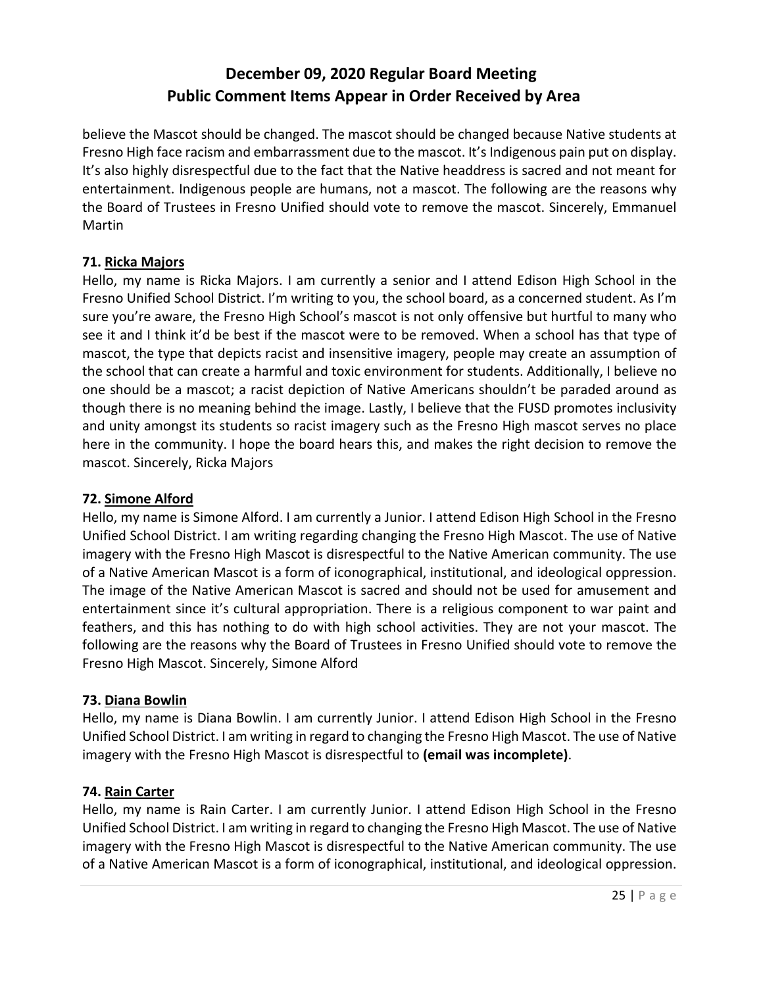believe the Mascot should be changed. The mascot should be changed because Native students at Fresno High face racism and embarrassment due to the mascot. It's Indigenous pain put on display. It's also highly disrespectful due to the fact that the Native headdress is sacred and not meant for entertainment. Indigenous people are humans, not a mascot. The following are the reasons why the Board of Trustees in Fresno Unified should vote to remove the mascot. Sincerely, Emmanuel Martin

## **71. Ricka Majors**

Hello, my name is Ricka Majors. I am currently a senior and I attend Edison High School in the Fresno Unified School District. I'm writing to you, the school board, as a concerned student. As I'm sure you're aware, the Fresno High School's mascot is not only offensive but hurtful to many who see it and I think it'd be best if the mascot were to be removed. When a school has that type of mascot, the type that depicts racist and insensitive imagery, people may create an assumption of the school that can create a harmful and toxic environment for students. Additionally, I believe no one should be a mascot; a racist depiction of Native Americans shouldn't be paraded around as though there is no meaning behind the image. Lastly, I believe that the FUSD promotes inclusivity and unity amongst its students so racist imagery such as the Fresno High mascot serves no place here in the community. I hope the board hears this, and makes the right decision to remove the mascot. Sincerely, Ricka Majors

## **72. Simone Alford**

Hello, my name is Simone Alford. I am currently a Junior. I attend Edison High School in the Fresno Unified School District. I am writing regarding changing the Fresno High Mascot. The use of Native imagery with the Fresno High Mascot is disrespectful to the Native American community. The use of a Native American Mascot is a form of iconographical, institutional, and ideological oppression. The image of the Native American Mascot is sacred and should not be used for amusement and entertainment since it's cultural appropriation. There is a religious component to war paint and feathers, and this has nothing to do with high school activities. They are not your mascot. The following are the reasons why the Board of Trustees in Fresno Unified should vote to remove the Fresno High Mascot. Sincerely, Simone Alford

## **73. Diana Bowlin**

Hello, my name is Diana Bowlin. I am currently Junior. I attend Edison High School in the Fresno Unified School District. I am writing in regard to changing the Fresno High Mascot. The use of Native imagery with the Fresno High Mascot is disrespectful to **(email was incomplete)**.

## **74. Rain Carter**

Hello, my name is Rain Carter. I am currently Junior. I attend Edison High School in the Fresno Unified School District. I am writing in regard to changing the Fresno High Mascot. The use of Native imagery with the Fresno High Mascot is disrespectful to the Native American community. The use of a Native American Mascot is a form of iconographical, institutional, and ideological oppression.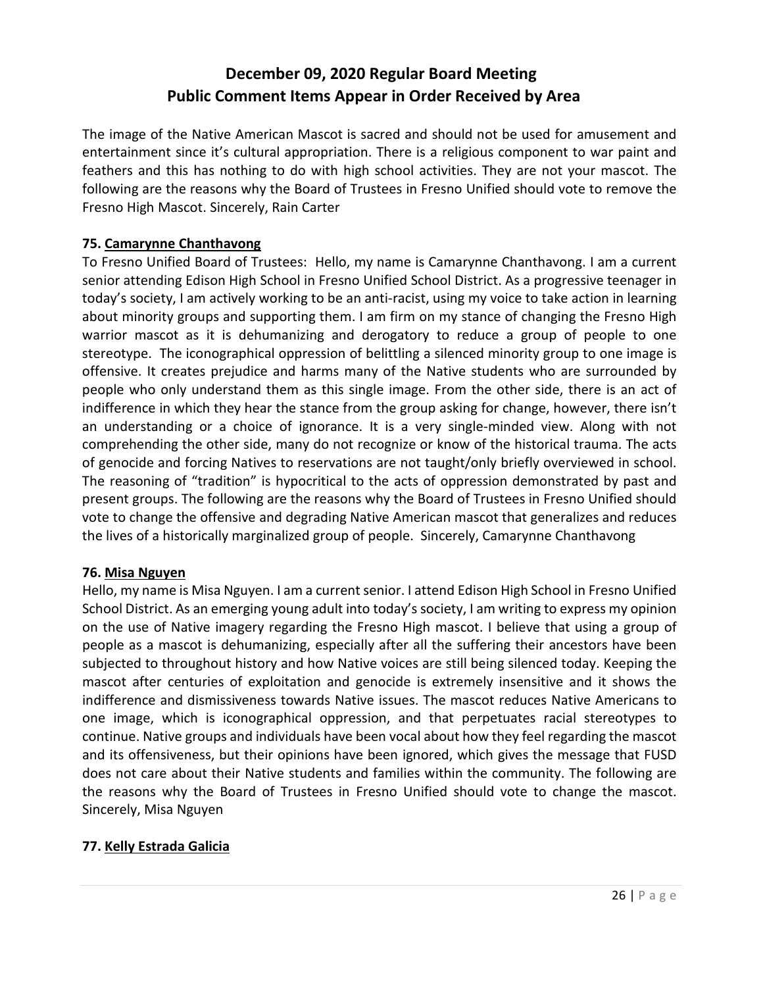The image of the Native American Mascot is sacred and should not be used for amusement and entertainment since it's cultural appropriation. There is a religious component to war paint and feathers and this has nothing to do with high school activities. They are not your mascot. The following are the reasons why the Board of Trustees in Fresno Unified should vote to remove the Fresno High Mascot. Sincerely, Rain Carter

## **75. Camarynne Chanthavong**

To Fresno Unified Board of Trustees: Hello, my name is Camarynne Chanthavong. I am a current senior attending Edison High School in Fresno Unified School District. As a progressive teenager in today's society, I am actively working to be an anti-racist, using my voice to take action in learning about minority groups and supporting them. I am firm on my stance of changing the Fresno High warrior mascot as it is dehumanizing and derogatory to reduce a group of people to one stereotype. The iconographical oppression of belittling a silenced minority group to one image is offensive. It creates prejudice and harms many of the Native students who are surrounded by people who only understand them as this single image. From the other side, there is an act of indifference in which they hear the stance from the group asking for change, however, there isn't an understanding or a choice of ignorance. It is a very single-minded view. Along with not comprehending the other side, many do not recognize or know of the historical trauma. The acts of genocide and forcing Natives to reservations are not taught/only briefly overviewed in school. The reasoning of "tradition" is hypocritical to the acts of oppression demonstrated by past and present groups. The following are the reasons why the Board of Trustees in Fresno Unified should vote to change the offensive and degrading Native American mascot that generalizes and reduces the lives of a historically marginalized group of people. Sincerely, Camarynne Chanthavong

#### **76. Misa Nguyen**

Hello, my name is Misa Nguyen. I am a current senior. I attend Edison High School in Fresno Unified School District. As an emerging young adult into today's society, I am writing to express my opinion on the use of Native imagery regarding the Fresno High mascot. I believe that using a group of people as a mascot is dehumanizing, especially after all the suffering their ancestors have been subjected to throughout history and how Native voices are still being silenced today. Keeping the mascot after centuries of exploitation and genocide is extremely insensitive and it shows the indifference and dismissiveness towards Native issues. The mascot reduces Native Americans to one image, which is iconographical oppression, and that perpetuates racial stereotypes to continue. Native groups and individuals have been vocal about how they feel regarding the mascot and its offensiveness, but their opinions have been ignored, which gives the message that FUSD does not care about their Native students and families within the community. The following are the reasons why the Board of Trustees in Fresno Unified should vote to change the mascot. Sincerely, Misa Nguyen

## **77. Kelly Estrada Galicia**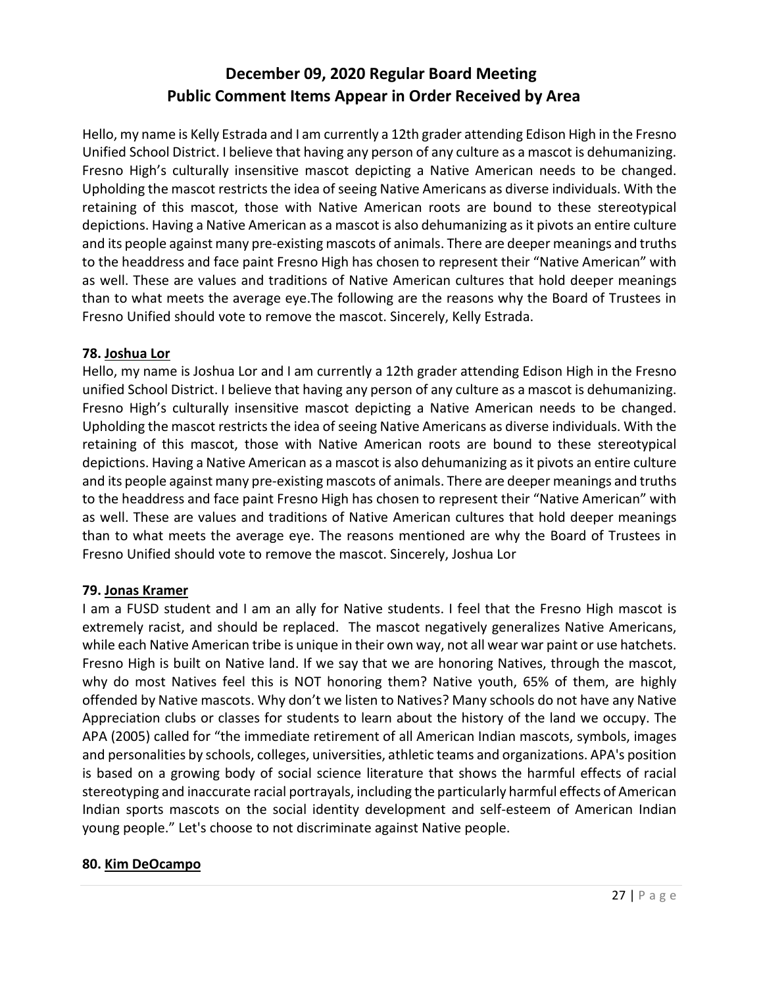Hello, my name is Kelly Estrada and I am currently a 12th grader attending Edison High in the Fresno Unified School District. I believe that having any person of any culture as a mascot is dehumanizing. Fresno High's culturally insensitive mascot depicting a Native American needs to be changed. Upholding the mascot restricts the idea of seeing Native Americans as diverse individuals. With the retaining of this mascot, those with Native American roots are bound to these stereotypical depictions. Having a Native American as a mascot is also dehumanizing as it pivots an entire culture and its people against many pre-existing mascots of animals. There are deeper meanings and truths to the headdress and face paint Fresno High has chosen to represent their "Native American" with as well. These are values and traditions of Native American cultures that hold deeper meanings than to what meets the average eye.The following are the reasons why the Board of Trustees in Fresno Unified should vote to remove the mascot. Sincerely, Kelly Estrada.

#### **78. Joshua Lor**

Hello, my name is Joshua Lor and I am currently a 12th grader attending Edison High in the Fresno unified School District. I believe that having any person of any culture as a mascot is dehumanizing. Fresno High's culturally insensitive mascot depicting a Native American needs to be changed. Upholding the mascot restricts the idea of seeing Native Americans as diverse individuals. With the retaining of this mascot, those with Native American roots are bound to these stereotypical depictions. Having a Native American as a mascot is also dehumanizing as it pivots an entire culture and its people against many pre-existing mascots of animals. There are deeper meanings and truths to the headdress and face paint Fresno High has chosen to represent their "Native American" with as well. These are values and traditions of Native American cultures that hold deeper meanings than to what meets the average eye. The reasons mentioned are why the Board of Trustees in Fresno Unified should vote to remove the mascot. Sincerely, Joshua Lor

#### **79. Jonas Kramer**

I am a FUSD student and I am an ally for Native students. I feel that the Fresno High mascot is extremely racist, and should be replaced. The mascot negatively generalizes Native Americans, while each Native American tribe is unique in their own way, not all wear war paint or use hatchets. Fresno High is built on Native land. If we say that we are honoring Natives, through the mascot, why do most Natives feel this is NOT honoring them? Native youth, 65% of them, are highly offended by Native mascots. Why don't we listen to Natives? Many schools do not have any Native Appreciation clubs or classes for students to learn about the history of the land we occupy. The APA (2005) called for "the immediate retirement of all American Indian mascots, symbols, images and personalities by schools, colleges, universities, athletic teams and organizations. APA's position is based on a growing body of social science literature that shows the harmful effects of racial stereotyping and inaccurate racial portrayals, including the particularly harmful effects of American Indian sports mascots on the social identity development and self-esteem of American Indian young people." Let's choose to not discriminate against Native people.

#### **80. Kim DeOcampo**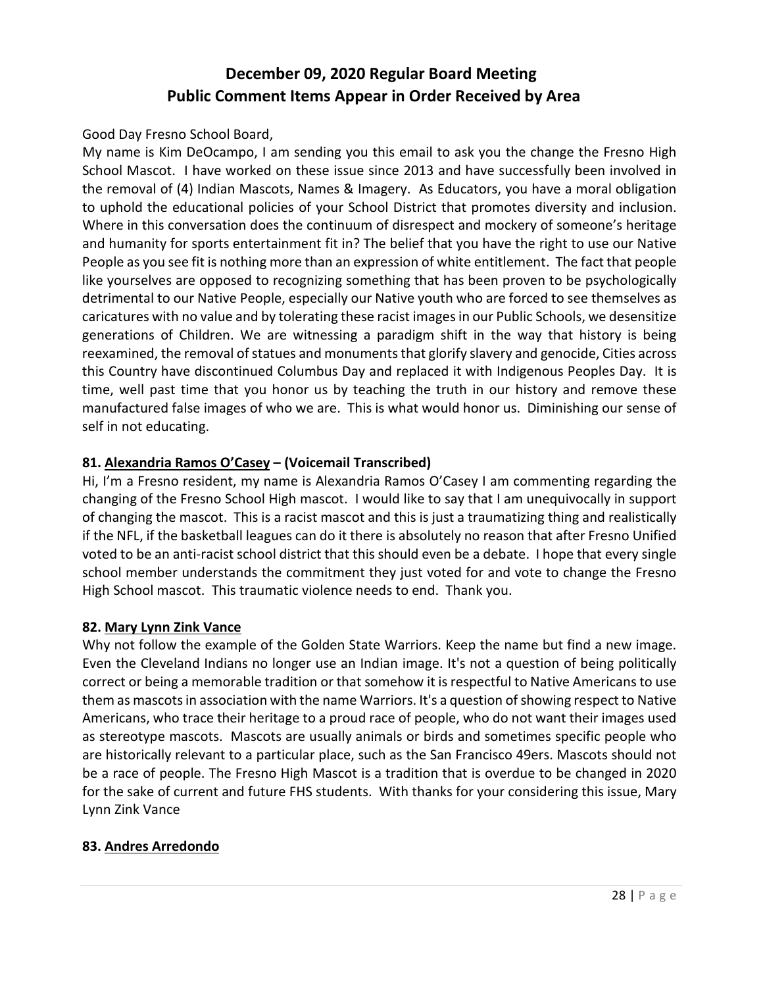#### Good Day Fresno School Board,

My name is Kim DeOcampo, I am sending you this email to ask you the change the Fresno High School Mascot. I have worked on these issue since 2013 and have successfully been involved in the removal of (4) Indian Mascots, Names & Imagery. As Educators, you have a moral obligation to uphold the educational policies of your School District that promotes diversity and inclusion. Where in this conversation does the continuum of disrespect and mockery of someone's heritage and humanity for sports entertainment fit in? The belief that you have the right to use our Native People as you see fit is nothing more than an expression of white entitlement. The fact that people like yourselves are opposed to recognizing something that has been proven to be psychologically detrimental to our Native People, especially our Native youth who are forced to see themselves as caricatures with no value and by tolerating these racist images in our Public Schools, we desensitize generations of Children. We are witnessing a paradigm shift in the way that history is being reexamined, the removal of statues and monuments that glorify slavery and genocide, Cities across this Country have discontinued Columbus Day and replaced it with Indigenous Peoples Day. It is time, well past time that you honor us by teaching the truth in our history and remove these manufactured false images of who we are. This is what would honor us. Diminishing our sense of self in not educating.

#### **81. Alexandria Ramos O'Casey – (Voicemail Transcribed)**

Hi, I'm a Fresno resident, my name is Alexandria Ramos O'Casey I am commenting regarding the changing of the Fresno School High mascot. I would like to say that I am unequivocally in support of changing the mascot. This is a racist mascot and this is just a traumatizing thing and realistically if the NFL, if the basketball leagues can do it there is absolutely no reason that after Fresno Unified voted to be an anti-racist school district that this should even be a debate. I hope that every single school member understands the commitment they just voted for and vote to change the Fresno High School mascot. This traumatic violence needs to end. Thank you.

#### **82. Mary Lynn Zink Vance**

Why not follow the example of the Golden State Warriors. Keep the name but find a new image. Even the Cleveland Indians no longer use an Indian image. It's not a question of being politically correct or being a memorable tradition or that somehow it is respectful to Native Americans to use them as mascots in association with the name Warriors. It's a question of showing respect to Native Americans, who trace their heritage to a proud race of people, who do not want their images used as stereotype mascots. Mascots are usually animals or birds and sometimes specific people who are historically relevant to a particular place, such as the San Francisco 49ers. Mascots should not be a race of people. The Fresno High Mascot is a tradition that is overdue to be changed in 2020 for the sake of current and future FHS students. With thanks for your considering this issue, Mary Lynn Zink Vance

## **83. Andres Arredondo**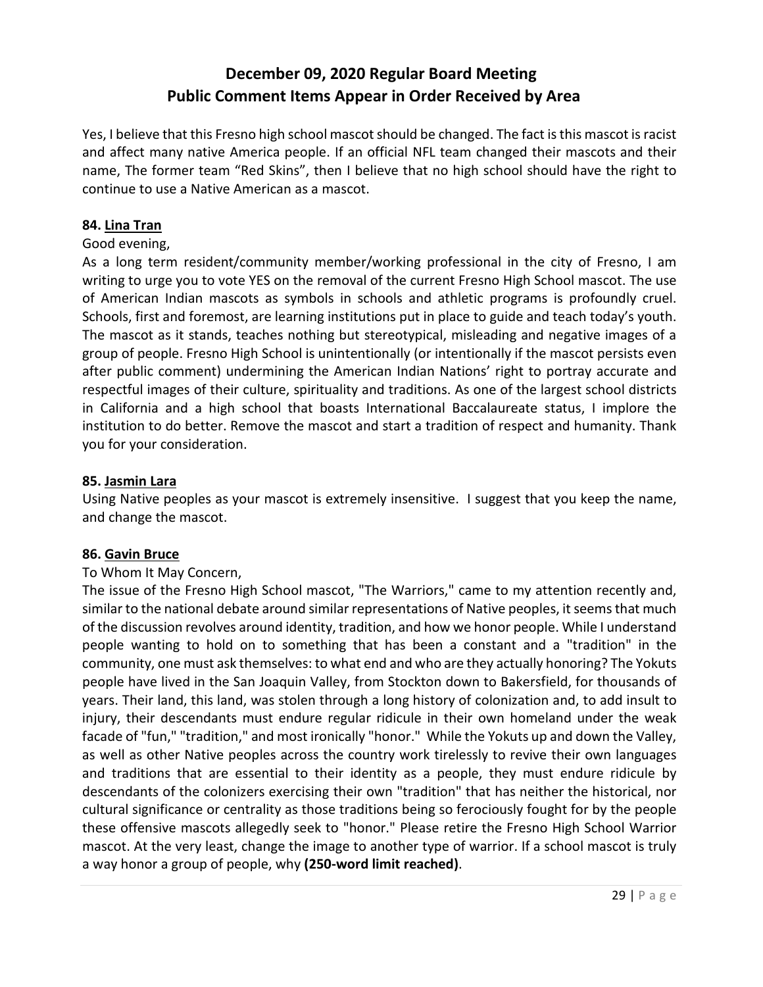Yes, I believe that this Fresno high school mascot should be changed. The fact is this mascot is racist and affect many native America people. If an official NFL team changed their mascots and their name, The former team "Red Skins", then I believe that no high school should have the right to continue to use a Native American as a mascot.

### **84. Lina Tran**

#### Good evening,

As a long term resident/community member/working professional in the city of Fresno, I am writing to urge you to vote YES on the removal of the current Fresno High School mascot. The use of American Indian mascots as symbols in schools and athletic programs is profoundly cruel. Schools, first and foremost, are learning institutions put in place to guide and teach today's youth. The mascot as it stands, teaches nothing but stereotypical, misleading and negative images of a group of people. Fresno High School is unintentionally (or intentionally if the mascot persists even after public comment) undermining the American Indian Nations' right to portray accurate and respectful images of their culture, spirituality and traditions. As one of the largest school districts in California and a high school that boasts International Baccalaureate status, I implore the institution to do better. Remove the mascot and start a tradition of respect and humanity. Thank you for your consideration.

#### **85. Jasmin Lara**

Using Native peoples as your mascot is extremely insensitive. I suggest that you keep the name, and change the mascot.

#### **86. Gavin Bruce**

#### To Whom It May Concern,

The issue of the Fresno High School mascot, "The Warriors," came to my attention recently and, similar to the national debate around similar representations of Native peoples, it seems that much of the discussion revolves around identity, tradition, and how we honor people. While I understand people wanting to hold on to something that has been a constant and a "tradition" in the community, one must ask themselves: to what end and who are they actually honoring? The Yokuts people have lived in the San Joaquin Valley, from Stockton down to Bakersfield, for thousands of years. Their land, this land, was stolen through a long history of colonization and, to add insult to injury, their descendants must endure regular ridicule in their own homeland under the weak facade of "fun," "tradition," and most ironically "honor." While the Yokuts up and down the Valley, as well as other Native peoples across the country work tirelessly to revive their own languages and traditions that are essential to their identity as a people, they must endure ridicule by descendants of the colonizers exercising their own "tradition" that has neither the historical, nor cultural significance or centrality as those traditions being so ferociously fought for by the people these offensive mascots allegedly seek to "honor." Please retire the Fresno High School Warrior mascot. At the very least, change the image to another type of warrior. If a school mascot is truly a way honor a group of people, why **(250-word limit reached)**.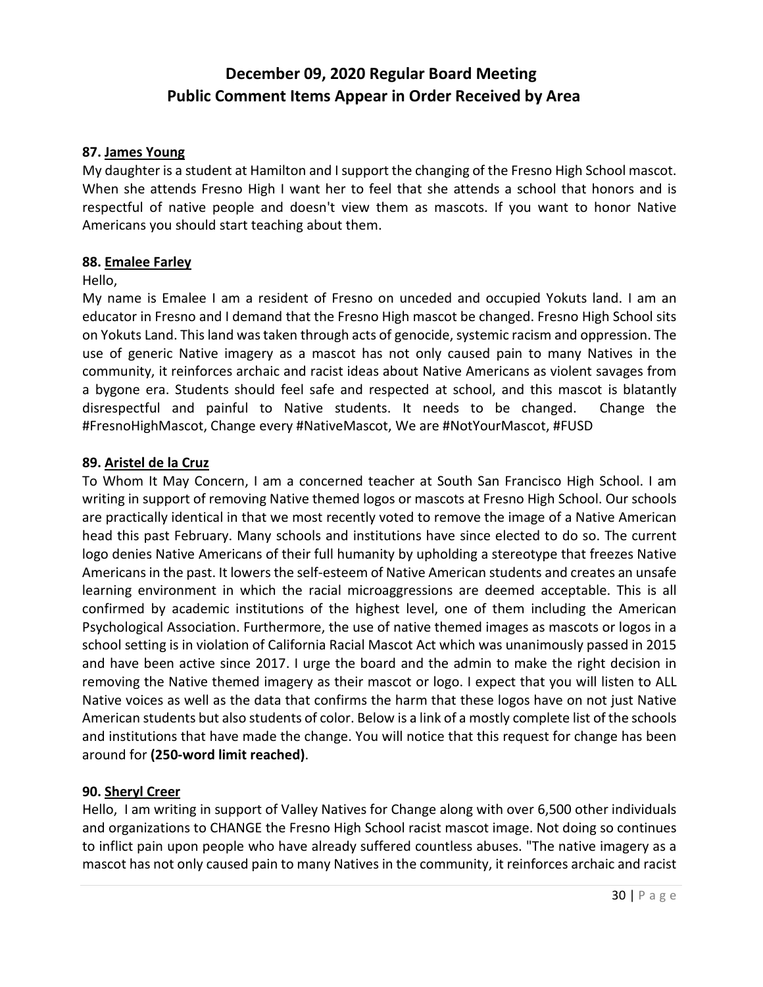#### **87. James Young**

My daughter is a student at Hamilton and I support the changing of the Fresno High School mascot. When she attends Fresno High I want her to feel that she attends a school that honors and is respectful of native people and doesn't view them as mascots. If you want to honor Native Americans you should start teaching about them.

#### **88. Emalee Farley**

#### Hello,

My name is Emalee I am a resident of Fresno on unceded and occupied Yokuts land. I am an educator in Fresno and I demand that the Fresno High mascot be changed. Fresno High School sits on Yokuts Land. This land was taken through acts of genocide, systemic racism and oppression. The use of generic Native imagery as a mascot has not only caused pain to many Natives in the community, it reinforces archaic and racist ideas about Native Americans as violent savages from a bygone era. Students should feel safe and respected at school, and this mascot is blatantly disrespectful and painful to Native students. It needs to be changed. Change the #FresnoHighMascot, Change every #NativeMascot, We are #NotYourMascot, #FUSD

#### **89. Aristel de la Cruz**

To Whom It May Concern, I am a concerned teacher at South San Francisco High School. I am writing in support of removing Native themed logos or mascots at Fresno High School. Our schools are practically identical in that we most recently voted to remove the image of a Native American head this past February. Many schools and institutions have since elected to do so. The current logo denies Native Americans of their full humanity by upholding a stereotype that freezes Native Americans in the past. It lowers the self-esteem of Native American students and creates an unsafe learning environment in which the racial microaggressions are deemed acceptable. This is all confirmed by academic institutions of the highest level, one of them including the American Psychological Association. Furthermore, the use of native themed images as mascots or logos in a school setting is in violation of California Racial Mascot Act which was unanimously passed in 2015 and have been active since 2017. I urge the board and the admin to make the right decision in removing the Native themed imagery as their mascot or logo. I expect that you will listen to ALL Native voices as well as the data that confirms the harm that these logos have on not just Native American students but also students of color. Below is a link of a mostly complete list of the schools and institutions that have made the change. You will notice that this request for change has been around for **(250-word limit reached)**.

#### **90. Sheryl Creer**

Hello, I am writing in support of Valley Natives for Change along with over 6,500 other individuals and organizations to CHANGE the Fresno High School racist mascot image. Not doing so continues to inflict pain upon people who have already suffered countless abuses. "The native imagery as a mascot has not only caused pain to many Natives in the community, it reinforces archaic and racist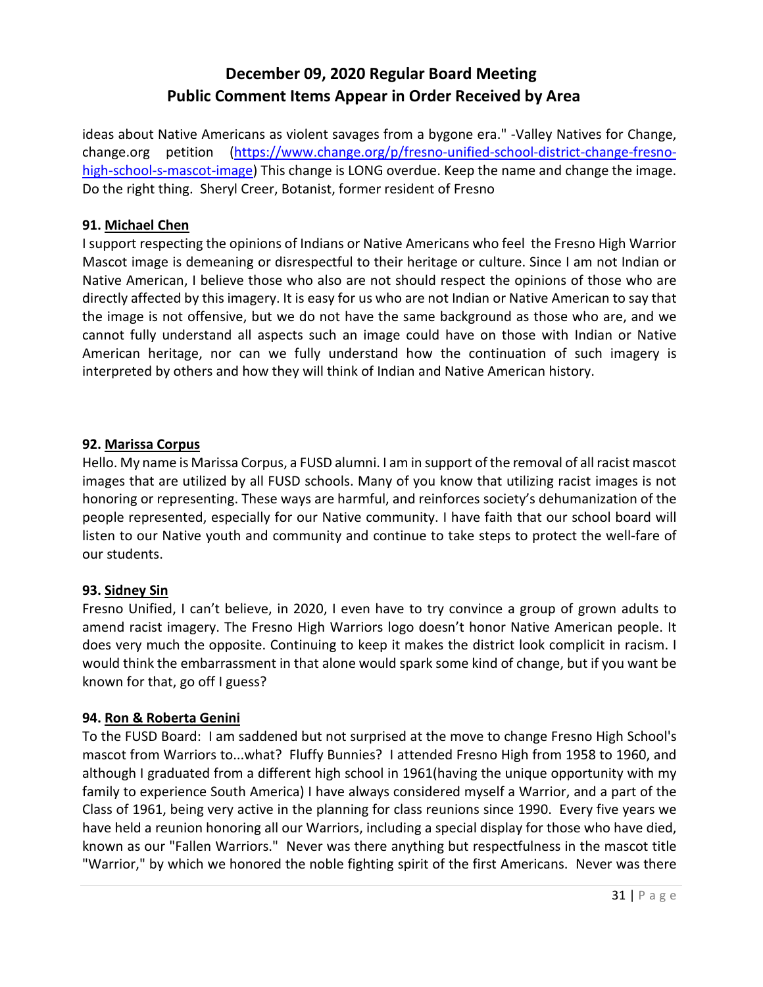ideas about Native Americans as violent savages from a bygone era." -Valley Natives for Change, change.org petition [\(https://www.change.org/p/fresno-unified-school-district-change-fresno](https://www.change.org/p/fresno-unified-school-district-change-fresno-high-school-s-mascot-image)[high-school-s-mascot-image\)](https://www.change.org/p/fresno-unified-school-district-change-fresno-high-school-s-mascot-image) This change is LONG overdue. Keep the name and change the image. Do the right thing. Sheryl Creer, Botanist, former resident of Fresno

### **91. Michael Chen**

I support respecting the opinions of Indians or Native Americans who feel the Fresno High Warrior Mascot image is demeaning or disrespectful to their heritage or culture. Since I am not Indian or Native American, I believe those who also are not should respect the opinions of those who are directly affected by this imagery. It is easy for us who are not Indian or Native American to say that the image is not offensive, but we do not have the same background as those who are, and we cannot fully understand all aspects such an image could have on those with Indian or Native American heritage, nor can we fully understand how the continuation of such imagery is interpreted by others and how they will think of Indian and Native American history.

#### **92. Marissa Corpus**

Hello. My name is Marissa Corpus, a FUSD alumni. I am in support of the removal of all racist mascot images that are utilized by all FUSD schools. Many of you know that utilizing racist images is not honoring or representing. These ways are harmful, and reinforces society's dehumanization of the people represented, especially for our Native community. I have faith that our school board will listen to our Native youth and community and continue to take steps to protect the well-fare of our students.

## **93. Sidney Sin**

Fresno Unified, I can't believe, in 2020, I even have to try convince a group of grown adults to amend racist imagery. The Fresno High Warriors logo doesn't honor Native American people. It does very much the opposite. Continuing to keep it makes the district look complicit in racism. I would think the embarrassment in that alone would spark some kind of change, but if you want be known for that, go off I guess?

## **94. Ron & Roberta Genini**

To the FUSD Board: I am saddened but not surprised at the move to change Fresno High School's mascot from Warriors to...what? Fluffy Bunnies? I attended Fresno High from 1958 to 1960, and although I graduated from a different high school in 1961(having the unique opportunity with my family to experience South America) I have always considered myself a Warrior, and a part of the Class of 1961, being very active in the planning for class reunions since 1990. Every five years we have held a reunion honoring all our Warriors, including a special display for those who have died, known as our "Fallen Warriors." Never was there anything but respectfulness in the mascot title "Warrior," by which we honored the noble fighting spirit of the first Americans. Never was there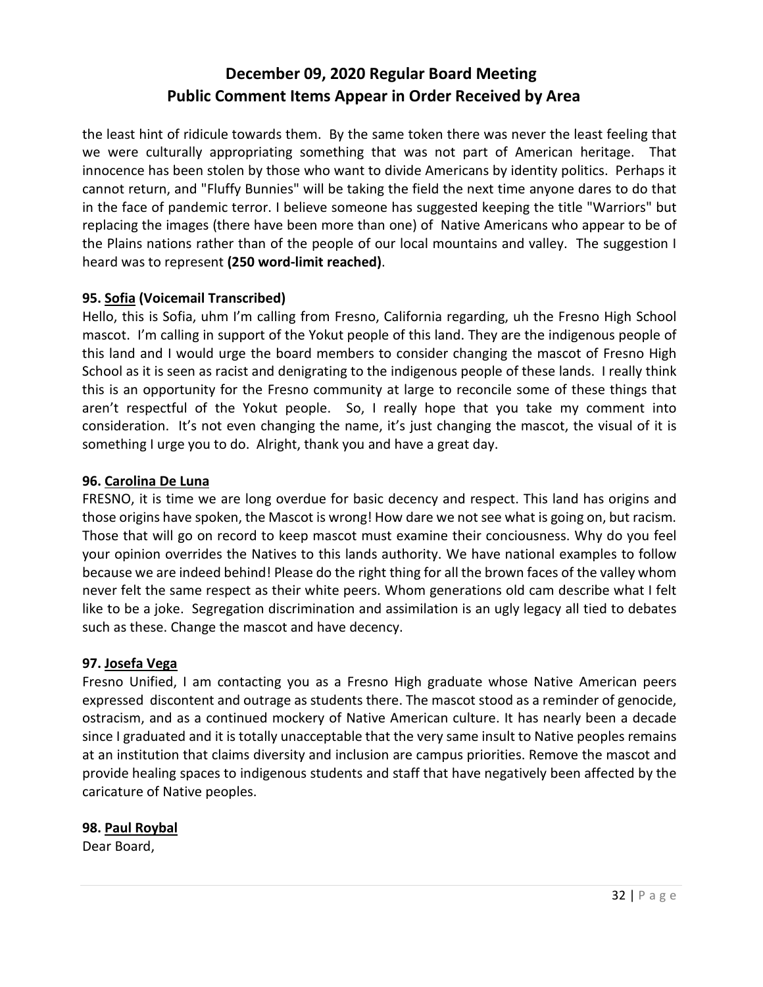the least hint of ridicule towards them. By the same token there was never the least feeling that we were culturally appropriating something that was not part of American heritage. That innocence has been stolen by those who want to divide Americans by identity politics. Perhaps it cannot return, and "Fluffy Bunnies" will be taking the field the next time anyone dares to do that in the face of pandemic terror. I believe someone has suggested keeping the title "Warriors" but replacing the images (there have been more than one) of Native Americans who appear to be of the Plains nations rather than of the people of our local mountains and valley. The suggestion I heard was to represent **(250 word-limit reached)**.

## **95. Sofia (Voicemail Transcribed)**

Hello, this is Sofia, uhm I'm calling from Fresno, California regarding, uh the Fresno High School mascot. I'm calling in support of the Yokut people of this land. They are the indigenous people of this land and I would urge the board members to consider changing the mascot of Fresno High School as it is seen as racist and denigrating to the indigenous people of these lands. I really think this is an opportunity for the Fresno community at large to reconcile some of these things that aren't respectful of the Yokut people. So, I really hope that you take my comment into consideration. It's not even changing the name, it's just changing the mascot, the visual of it is something I urge you to do. Alright, thank you and have a great day.

#### **96. Carolina De Luna**

FRESNO, it is time we are long overdue for basic decency and respect. This land has origins and those origins have spoken, the Mascot is wrong! How dare we not see what is going on, but racism. Those that will go on record to keep mascot must examine their conciousness. Why do you feel your opinion overrides the Natives to this lands authority. We have national examples to follow because we are indeed behind! Please do the right thing for all the brown faces of the valley whom never felt the same respect as their white peers. Whom generations old cam describe what I felt like to be a joke. Segregation discrimination and assimilation is an ugly legacy all tied to debates such as these. Change the mascot and have decency.

#### **97. Josefa Vega**

Fresno Unified, I am contacting you as a Fresno High graduate whose Native American peers expressed discontent and outrage as students there. The mascot stood as a reminder of genocide, ostracism, and as a continued mockery of Native American culture. It has nearly been a decade since I graduated and it is totally unacceptable that the very same insult to Native peoples remains at an institution that claims diversity and inclusion are campus priorities. Remove the mascot and provide healing spaces to indigenous students and staff that have negatively been affected by the caricature of Native peoples.

## **98. Paul Roybal**

Dear Board,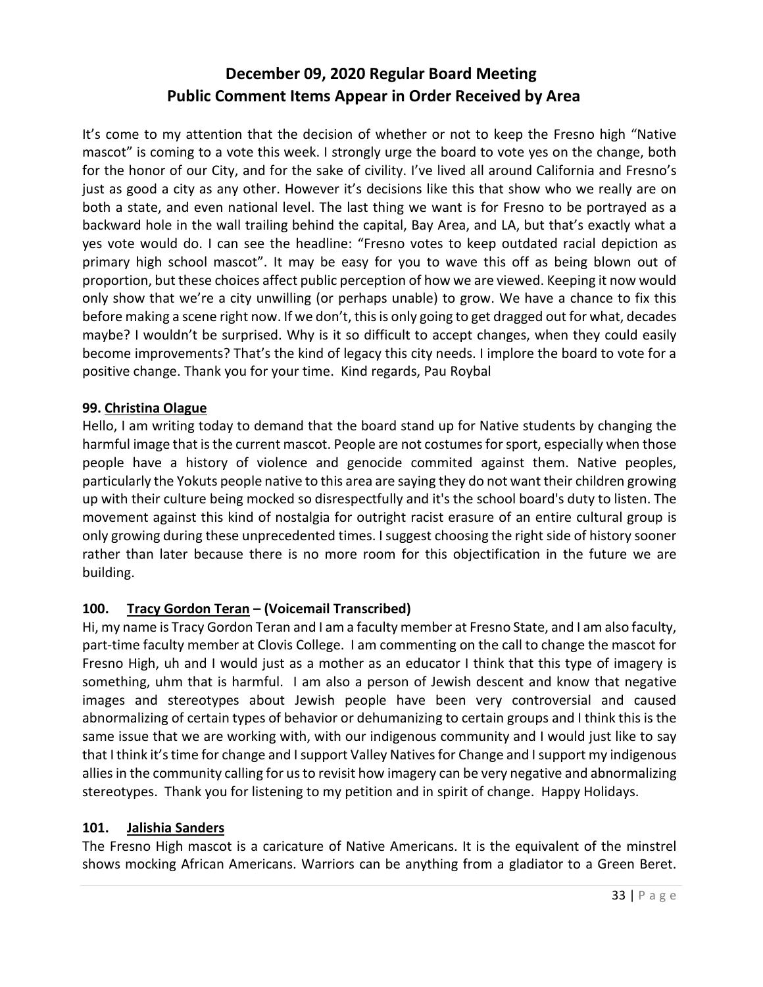It's come to my attention that the decision of whether or not to keep the Fresno high "Native mascot" is coming to a vote this week. I strongly urge the board to vote yes on the change, both for the honor of our City, and for the sake of civility. I've lived all around California and Fresno's just as good a city as any other. However it's decisions like this that show who we really are on both a state, and even national level. The last thing we want is for Fresno to be portrayed as a backward hole in the wall trailing behind the capital, Bay Area, and LA, but that's exactly what a yes vote would do. I can see the headline: "Fresno votes to keep outdated racial depiction as primary high school mascot". It may be easy for you to wave this off as being blown out of proportion, but these choices affect public perception of how we are viewed. Keeping it now would only show that we're a city unwilling (or perhaps unable) to grow. We have a chance to fix this before making a scene right now. If we don't, this is only going to get dragged out for what, decades maybe? I wouldn't be surprised. Why is it so difficult to accept changes, when they could easily become improvements? That's the kind of legacy this city needs. I implore the board to vote for a positive change. Thank you for your time. Kind regards, Pau Roybal

#### **99. Christina Olague**

Hello, I am writing today to demand that the board stand up for Native students by changing the harmful image that is the current mascot. People are not costumes for sport, especially when those people have a history of violence and genocide commited against them. Native peoples, particularly the Yokuts people native to this area are saying they do not want their children growing up with their culture being mocked so disrespectfully and it's the school board's duty to listen. The movement against this kind of nostalgia for outright racist erasure of an entire cultural group is only growing during these unprecedented times. I suggest choosing the right side of history sooner rather than later because there is no more room for this objectification in the future we are building.

## **100. Tracy Gordon Teran – (Voicemail Transcribed)**

Hi, my name is Tracy Gordon Teran and I am a faculty member at Fresno State, and I am also faculty, part-time faculty member at Clovis College. I am commenting on the call to change the mascot for Fresno High, uh and I would just as a mother as an educator I think that this type of imagery is something, uhm that is harmful. I am also a person of Jewish descent and know that negative images and stereotypes about Jewish people have been very controversial and caused abnormalizing of certain types of behavior or dehumanizing to certain groups and I think this is the same issue that we are working with, with our indigenous community and I would just like to say that I think it's time for change and I support Valley Natives for Change and I support my indigenous allies in the community calling for us to revisit how imagery can be very negative and abnormalizing stereotypes. Thank you for listening to my petition and in spirit of change. Happy Holidays.

#### **101. Jalishia Sanders**

The Fresno High mascot is a caricature of Native Americans. It is the equivalent of the minstrel shows mocking African Americans. Warriors can be anything from a gladiator to a Green Beret.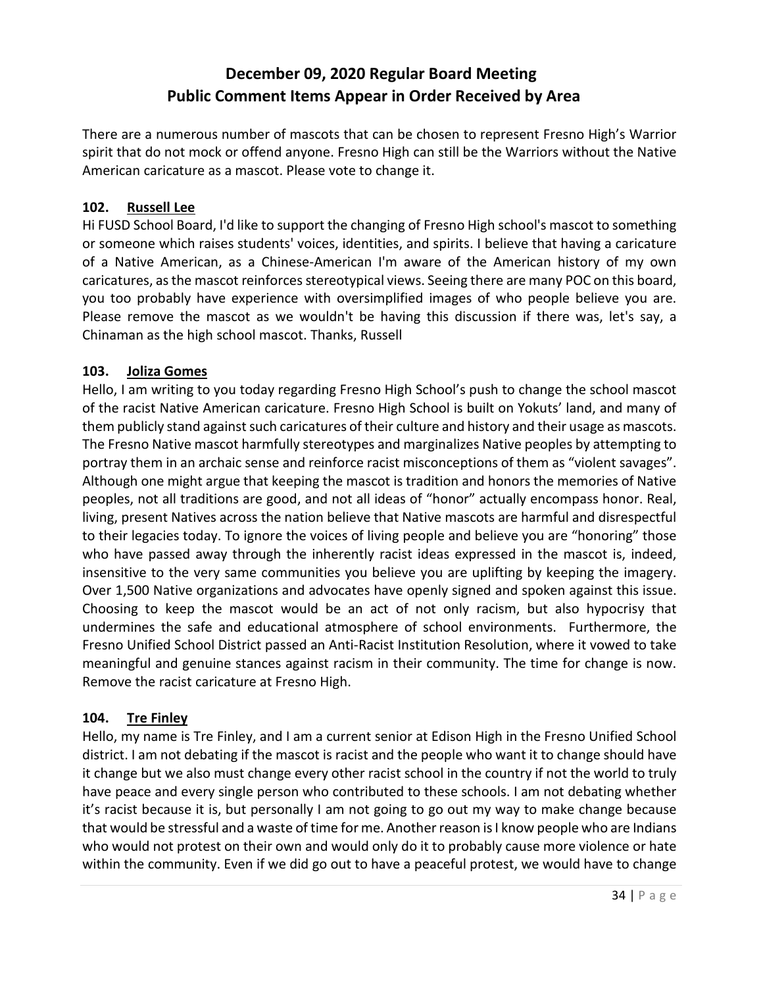There are a numerous number of mascots that can be chosen to represent Fresno High's Warrior spirit that do not mock or offend anyone. Fresno High can still be the Warriors without the Native American caricature as a mascot. Please vote to change it.

### **102. Russell Lee**

Hi FUSD School Board, I'd like to support the changing of Fresno High school's mascot to something or someone which raises students' voices, identities, and spirits. I believe that having a caricature of a Native American, as a Chinese-American I'm aware of the American history of my own caricatures, as the mascot reinforces stereotypical views. Seeing there are many POC on this board, you too probably have experience with oversimplified images of who people believe you are. Please remove the mascot as we wouldn't be having this discussion if there was, let's say, a Chinaman as the high school mascot. Thanks, Russell

#### **103. Joliza Gomes**

Hello, I am writing to you today regarding Fresno High School's push to change the school mascot of the racist Native American caricature. Fresno High School is built on Yokuts' land, and many of them publicly stand against such caricatures of their culture and history and their usage as mascots. The Fresno Native mascot harmfully stereotypes and marginalizes Native peoples by attempting to portray them in an archaic sense and reinforce racist misconceptions of them as "violent savages". Although one might argue that keeping the mascot is tradition and honors the memories of Native peoples, not all traditions are good, and not all ideas of "honor" actually encompass honor. Real, living, present Natives across the nation believe that Native mascots are harmful and disrespectful to their legacies today. To ignore the voices of living people and believe you are "honoring" those who have passed away through the inherently racist ideas expressed in the mascot is, indeed, insensitive to the very same communities you believe you are uplifting by keeping the imagery. Over 1,500 Native organizations and advocates have openly signed and spoken against this issue. Choosing to keep the mascot would be an act of not only racism, but also hypocrisy that undermines the safe and educational atmosphere of school environments. Furthermore, the Fresno Unified School District passed an Anti-Racist Institution Resolution, where it vowed to take meaningful and genuine stances against racism in their community. The time for change is now. Remove the racist caricature at Fresno High.

## **104. Tre Finley**

Hello, my name is Tre Finley, and I am a current senior at Edison High in the Fresno Unified School district. I am not debating if the mascot is racist and the people who want it to change should have it change but we also must change every other racist school in the country if not the world to truly have peace and every single person who contributed to these schools. I am not debating whether it's racist because it is, but personally I am not going to go out my way to make change because that would be stressful and a waste of time for me. Another reason is I know people who are Indians who would not protest on their own and would only do it to probably cause more violence or hate within the community. Even if we did go out to have a peaceful protest, we would have to change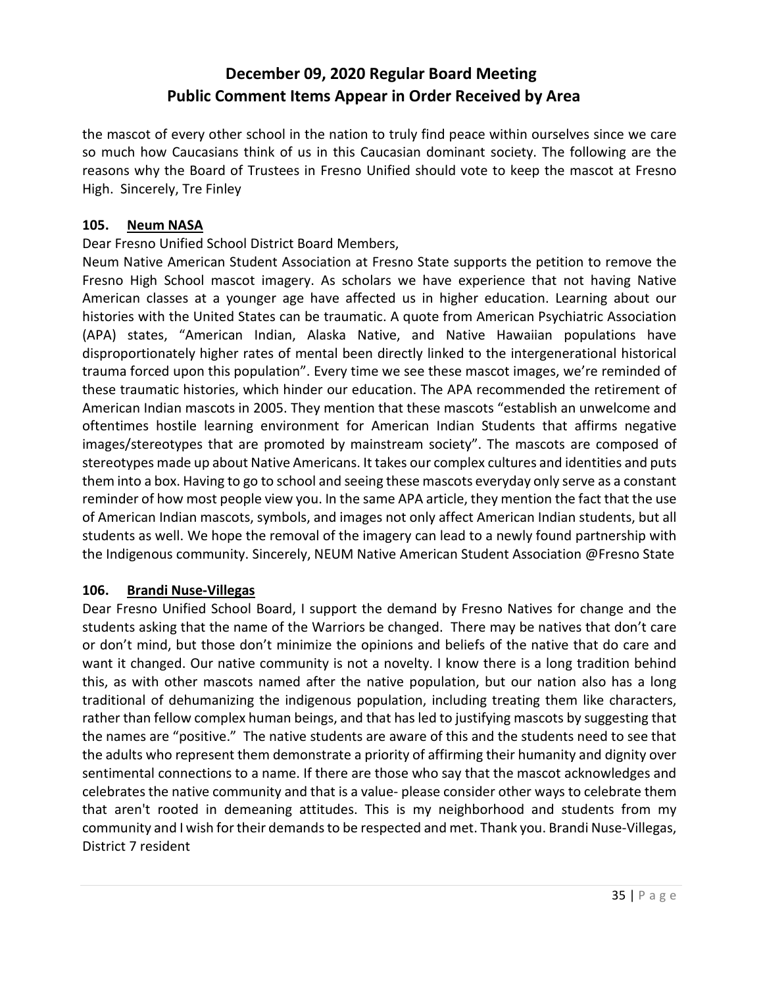the mascot of every other school in the nation to truly find peace within ourselves since we care so much how Caucasians think of us in this Caucasian dominant society. The following are the reasons why the Board of Trustees in Fresno Unified should vote to keep the mascot at Fresno High. Sincerely, Tre Finley

#### **105. Neum NASA**

#### Dear Fresno Unified School District Board Members,

Neum Native American Student Association at Fresno State supports the petition to remove the Fresno High School mascot imagery. As scholars we have experience that not having Native American classes at a younger age have affected us in higher education. Learning about our histories with the United States can be traumatic. A quote from American Psychiatric Association (APA) states, "American Indian, Alaska Native, and Native Hawaiian populations have disproportionately higher rates of mental been directly linked to the intergenerational historical trauma forced upon this population". Every time we see these mascot images, we're reminded of these traumatic histories, which hinder our education. The APA recommended the retirement of American Indian mascots in 2005. They mention that these mascots "establish an unwelcome and oftentimes hostile learning environment for American Indian Students that affirms negative images/stereotypes that are promoted by mainstream society". The mascots are composed of stereotypes made up about Native Americans. It takes our complex cultures and identities and puts them into a box. Having to go to school and seeing these mascots everyday only serve as a constant reminder of how most people view you. In the same APA article, they mention the fact that the use of American Indian mascots, symbols, and images not only affect American Indian students, but all students as well. We hope the removal of the imagery can lead to a newly found partnership with the Indigenous community. Sincerely, NEUM Native American Student Association @Fresno State

#### **106. Brandi Nuse-Villegas**

Dear Fresno Unified School Board, I support the demand by Fresno Natives for change and the students asking that the name of the Warriors be changed. There may be natives that don't care or don't mind, but those don't minimize the opinions and beliefs of the native that do care and want it changed. Our native community is not a novelty. I know there is a long tradition behind this, as with other mascots named after the native population, but our nation also has a long traditional of dehumanizing the indigenous population, including treating them like characters, rather than fellow complex human beings, and that has led to justifying mascots by suggesting that the names are "positive." The native students are aware of this and the students need to see that the adults who represent them demonstrate a priority of affirming their humanity and dignity over sentimental connections to a name. If there are those who say that the mascot acknowledges and celebrates the native community and that is a value- please consider other ways to celebrate them that aren't rooted in demeaning attitudes. This is my neighborhood and students from my community and I wish for their demands to be respected and met. Thank you. Brandi Nuse-Villegas, District 7 resident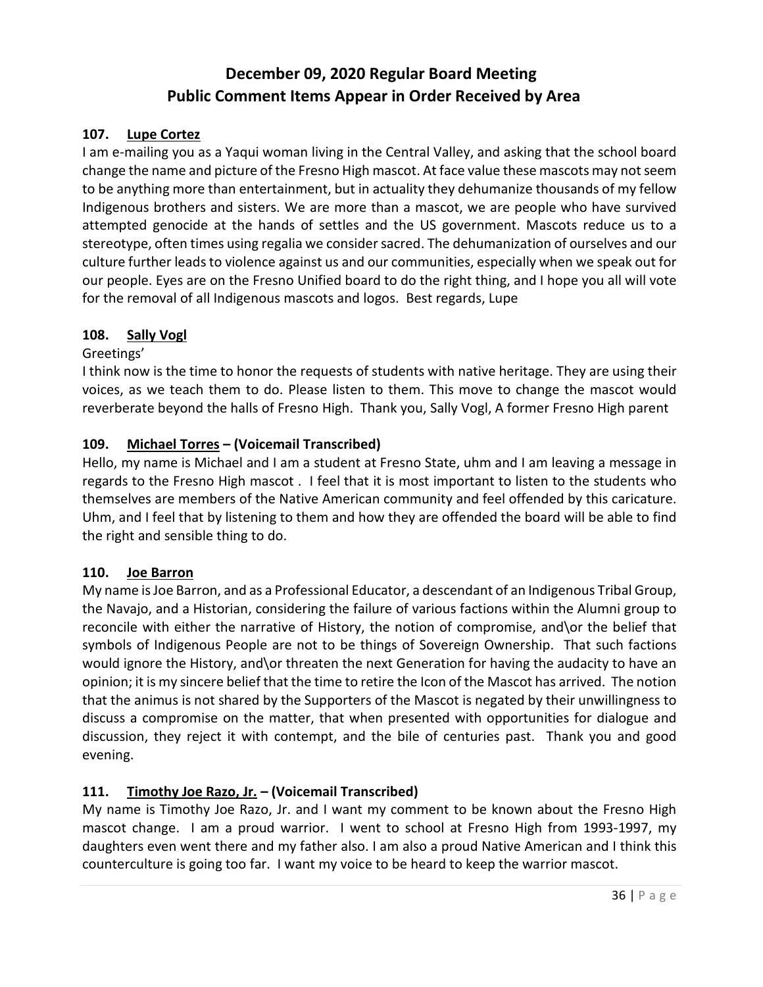### **107. Lupe Cortez**

I am e-mailing you as a Yaqui woman living in the Central Valley, and asking that the school board change the name and picture of the Fresno High mascot. At face value these mascots may not seem to be anything more than entertainment, but in actuality they dehumanize thousands of my fellow Indigenous brothers and sisters. We are more than a mascot, we are people who have survived attempted genocide at the hands of settles and the US government. Mascots reduce us to a stereotype, often times using regalia we consider sacred. The dehumanization of ourselves and our culture further leads to violence against us and our communities, especially when we speak out for our people. Eyes are on the Fresno Unified board to do the right thing, and I hope you all will vote for the removal of all Indigenous mascots and logos. Best regards, Lupe

#### **108. Sally Vogl**

#### Greetings'

I think now is the time to honor the requests of students with native heritage. They are using their voices, as we teach them to do. Please listen to them. This move to change the mascot would reverberate beyond the halls of Fresno High. Thank you, Sally Vogl, A former Fresno High parent

#### **109. Michael Torres – (Voicemail Transcribed)**

Hello, my name is Michael and I am a student at Fresno State, uhm and I am leaving a message in regards to the Fresno High mascot . I feel that it is most important to listen to the students who themselves are members of the Native American community and feel offended by this caricature. Uhm, and I feel that by listening to them and how they are offended the board will be able to find the right and sensible thing to do.

#### **110. Joe Barron**

My name is Joe Barron, and as a Professional Educator, a descendant of an Indigenous Tribal Group, the Navajo, and a Historian, considering the failure of various factions within the Alumni group to reconcile with either the narrative of History, the notion of compromise, and\or the belief that symbols of Indigenous People are not to be things of Sovereign Ownership. That such factions would ignore the History, and\or threaten the next Generation for having the audacity to have an opinion; it is my sincere belief that the time to retire the Icon of the Mascot has arrived. The notion that the animus is not shared by the Supporters of the Mascot is negated by their unwillingness to discuss a compromise on the matter, that when presented with opportunities for dialogue and discussion, they reject it with contempt, and the bile of centuries past. Thank you and good evening.

## **111. Timothy Joe Razo, Jr. – (Voicemail Transcribed)**

My name is Timothy Joe Razo, Jr. and I want my comment to be known about the Fresno High mascot change. I am a proud warrior. I went to school at Fresno High from 1993-1997, my daughters even went there and my father also. I am also a proud Native American and I think this counterculture is going too far. I want my voice to be heard to keep the warrior mascot.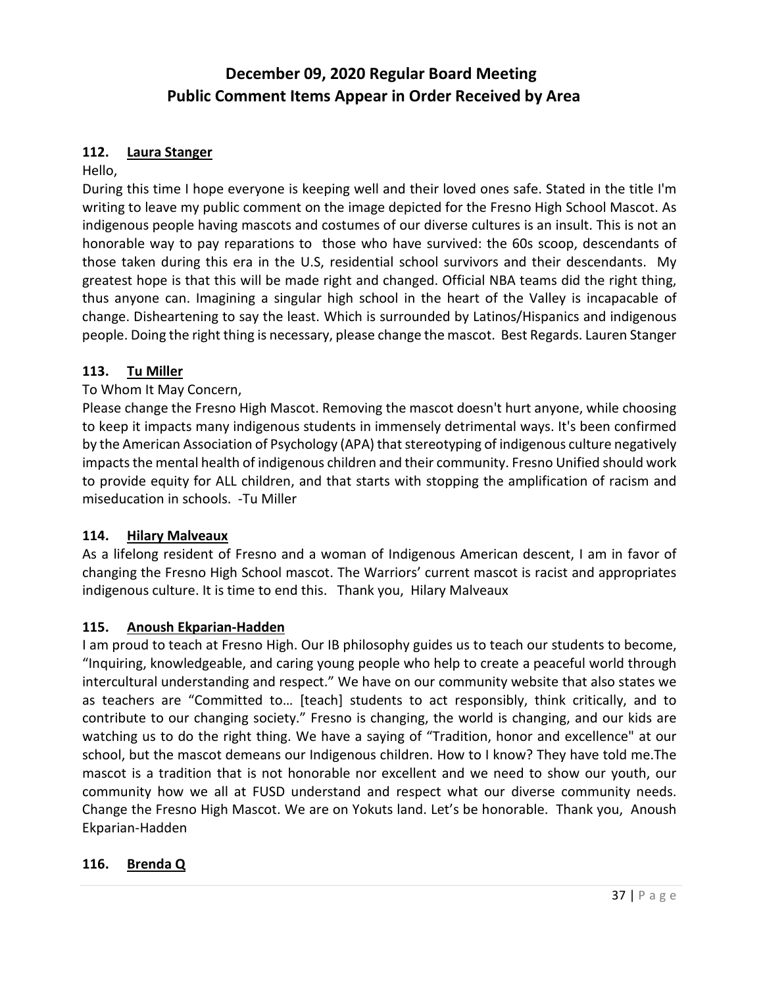#### **112. Laura Stanger**

#### Hello,

During this time I hope everyone is keeping well and their loved ones safe. Stated in the title I'm writing to leave my public comment on the image depicted for the Fresno High School Mascot. As indigenous people having mascots and costumes of our diverse cultures is an insult. This is not an honorable way to pay reparations to those who have survived: the 60s scoop, descendants of those taken during this era in the U.S, residential school survivors and their descendants. My greatest hope is that this will be made right and changed. Official NBA teams did the right thing, thus anyone can. Imagining a singular high school in the heart of the Valley is incapacable of change. Disheartening to say the least. Which is surrounded by Latinos/Hispanics and indigenous people. Doing the right thing is necessary, please change the mascot. Best Regards. Lauren Stanger

#### **113. Tu Miller**

#### To Whom It May Concern,

Please change the Fresno High Mascot. Removing the mascot doesn't hurt anyone, while choosing to keep it impacts many indigenous students in immensely detrimental ways. It's been confirmed by the American Association of Psychology (APA) that stereotyping of indigenous culture negatively impacts the mental health of indigenous children and their community. Fresno Unified should work to provide equity for ALL children, and that starts with stopping the amplification of racism and miseducation in schools. -Tu Miller

#### **114. Hilary Malveaux**

As a lifelong resident of Fresno and a woman of Indigenous American descent, I am in favor of changing the Fresno High School mascot. The Warriors' current mascot is racist and appropriates indigenous culture. It is time to end this. Thank you, Hilary Malveaux

#### **115. Anoush Ekparian-Hadden**

I am proud to teach at Fresno High. Our IB philosophy guides us to teach our students to become, "Inquiring, knowledgeable, and caring young people who help to create a peaceful world through intercultural understanding and respect." We have on our community website that also states we as teachers are "Committed to… [teach] students to act responsibly, think critically, and to contribute to our changing society." Fresno is changing, the world is changing, and our kids are watching us to do the right thing. We have a saying of "Tradition, honor and excellence" at our school, but the mascot demeans our Indigenous children. How to I know? They have told me.The mascot is a tradition that is not honorable nor excellent and we need to show our youth, our community how we all at FUSD understand and respect what our diverse community needs. Change the Fresno High Mascot. We are on Yokuts land. Let's be honorable. Thank you, Anoush Ekparian-Hadden

#### **116. Brenda Q**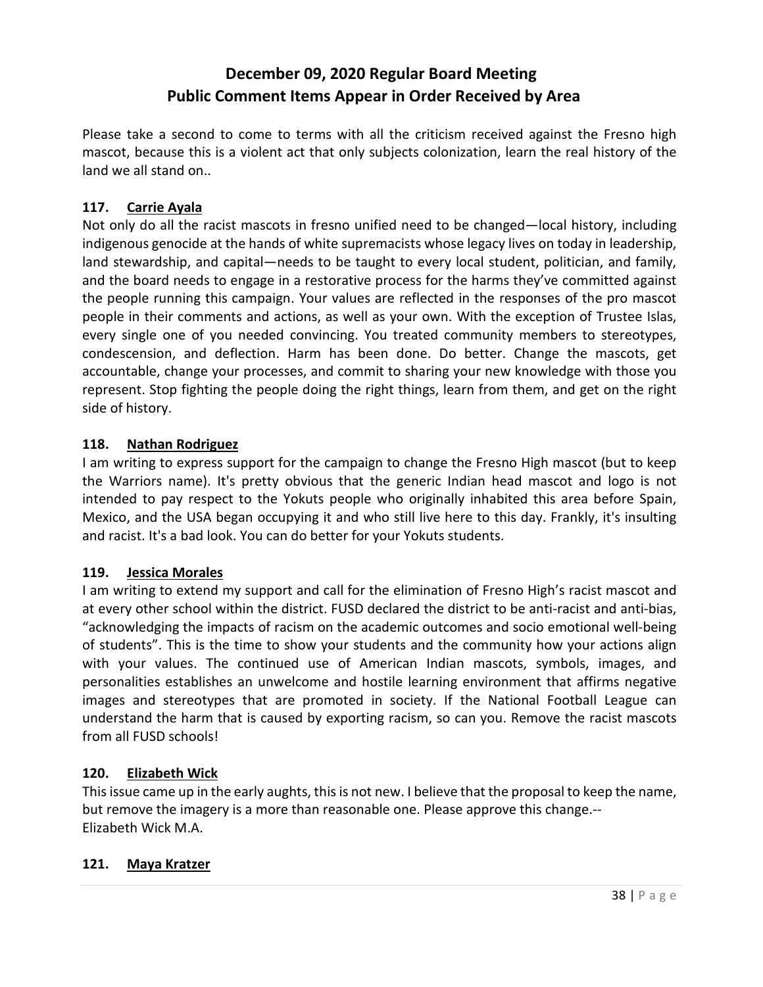Please take a second to come to terms with all the criticism received against the Fresno high mascot, because this is a violent act that only subjects colonization, learn the real history of the land we all stand on..

### **117. Carrie Ayala**

Not only do all the racist mascots in fresno unified need to be changed—local history, including indigenous genocide at the hands of white supremacists whose legacy lives on today in leadership, land stewardship, and capital—needs to be taught to every local student, politician, and family, and the board needs to engage in a restorative process for the harms they've committed against the people running this campaign. Your values are reflected in the responses of the pro mascot people in their comments and actions, as well as your own. With the exception of Trustee Islas, every single one of you needed convincing. You treated community members to stereotypes, condescension, and deflection. Harm has been done. Do better. Change the mascots, get accountable, change your processes, and commit to sharing your new knowledge with those you represent. Stop fighting the people doing the right things, learn from them, and get on the right side of history.

#### **118. Nathan Rodriguez**

I am writing to express support for the campaign to change the Fresno High mascot (but to keep the Warriors name). It's pretty obvious that the generic Indian head mascot and logo is not intended to pay respect to the Yokuts people who originally inhabited this area before Spain, Mexico, and the USA began occupying it and who still live here to this day. Frankly, it's insulting and racist. It's a bad look. You can do better for your Yokuts students.

#### **119. Jessica Morales**

I am writing to extend my support and call for the elimination of Fresno High's racist mascot and at every other school within the district. FUSD declared the district to be anti-racist and anti-bias, "acknowledging the impacts of racism on the academic outcomes and socio emotional well-being of students". This is the time to show your students and the community how your actions align with your values. The continued use of American Indian mascots, symbols, images, and personalities establishes an unwelcome and hostile learning environment that affirms negative images and stereotypes that are promoted in society. If the National Football League can understand the harm that is caused by exporting racism, so can you. Remove the racist mascots from all FUSD schools!

#### **120. Elizabeth Wick**

This issue came up in the early aughts, this is not new. I believe that the proposal to keep the name, but remove the imagery is a more than reasonable one. Please approve this change.-- Elizabeth Wick M.A.

#### **121. Maya Kratzer**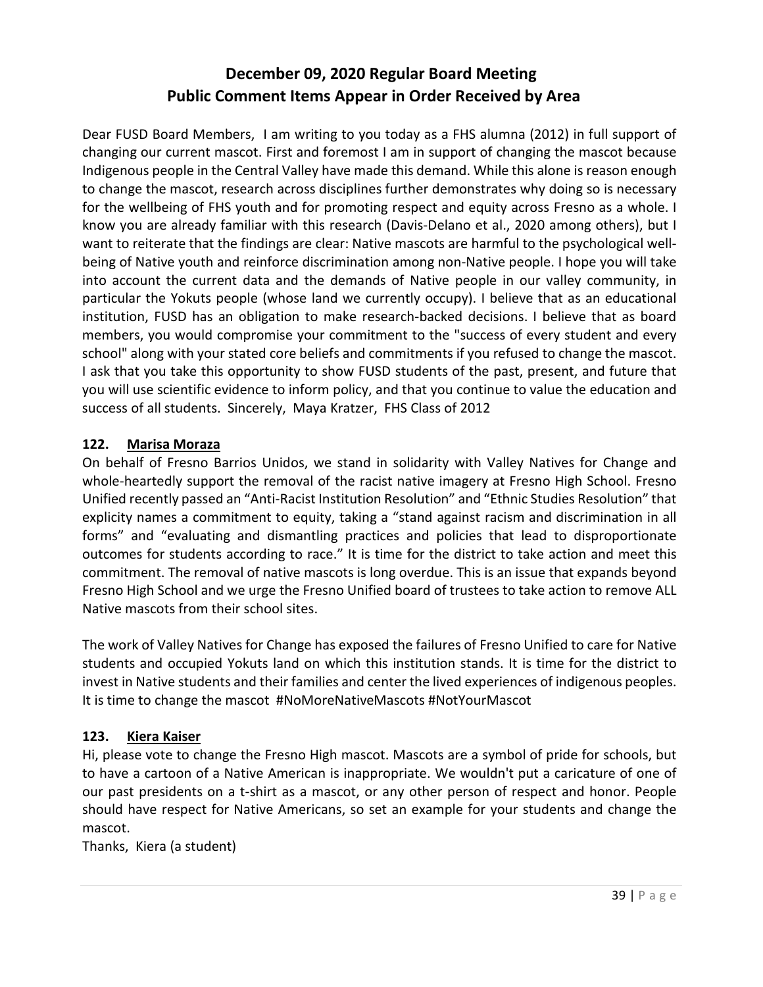Dear FUSD Board Members, I am writing to you today as a FHS alumna (2012) in full support of changing our current mascot. First and foremost I am in support of changing the mascot because Indigenous people in the Central Valley have made this demand. While this alone is reason enough to change the mascot, research across disciplines further demonstrates why doing so is necessary for the wellbeing of FHS youth and for promoting respect and equity across Fresno as a whole. I know you are already familiar with this research (Davis-Delano et al., 2020 among others), but I want to reiterate that the findings are clear: Native mascots are harmful to the psychological wellbeing of Native youth and reinforce discrimination among non-Native people. I hope you will take into account the current data and the demands of Native people in our valley community, in particular the Yokuts people (whose land we currently occupy). I believe that as an educational institution, FUSD has an obligation to make research-backed decisions. I believe that as board members, you would compromise your commitment to the "success of every student and every school" along with your stated core beliefs and commitments if you refused to change the mascot. I ask that you take this opportunity to show FUSD students of the past, present, and future that you will use scientific evidence to inform policy, and that you continue to value the education and success of all students. Sincerely, Maya Kratzer, FHS Class of 2012

#### **122. Marisa Moraza**

On behalf of Fresno Barrios Unidos, we stand in solidarity with Valley Natives for Change and whole-heartedly support the removal of the racist native imagery at Fresno High School. Fresno Unified recently passed an "Anti-Racist Institution Resolution" and "Ethnic Studies Resolution" that explicity names a commitment to equity, taking a "stand against racism and discrimination in all forms" and "evaluating and dismantling practices and policies that lead to disproportionate outcomes for students according to race." It is time for the district to take action and meet this commitment. The removal of native mascots is long overdue. This is an issue that expands beyond Fresno High School and we urge the Fresno Unified board of trustees to take action to remove ALL Native mascots from their school sites.

The work of Valley Natives for Change has exposed the failures of Fresno Unified to care for Native students and occupied Yokuts land on which this institution stands. It is time for the district to invest in Native students and their families and center the lived experiences of indigenous peoples. It is time to change the mascot #NoMoreNativeMascots #NotYourMascot

## **123. Kiera Kaiser**

Hi, please vote to change the Fresno High mascot. Mascots are a symbol of pride for schools, but to have a cartoon of a Native American is inappropriate. We wouldn't put a caricature of one of our past presidents on a t-shirt as a mascot, or any other person of respect and honor. People should have respect for Native Americans, so set an example for your students and change the mascot.

Thanks, Kiera (a student)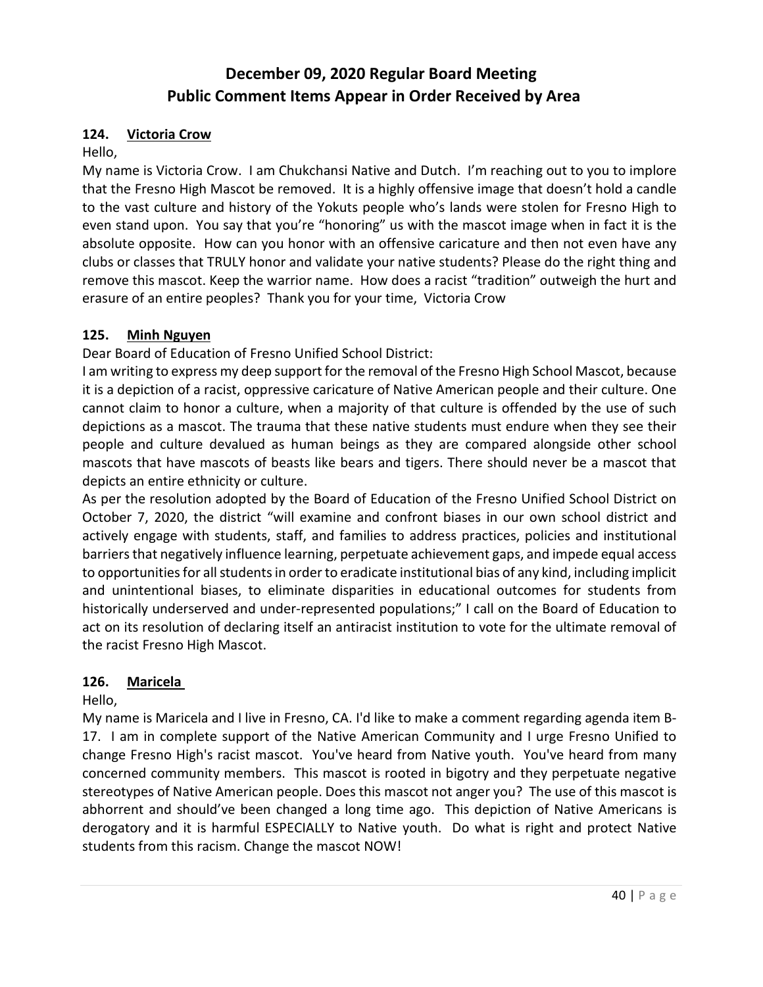#### **124. Victoria Crow**

Hello,

My name is Victoria Crow. I am Chukchansi Native and Dutch. I'm reaching out to you to implore that the Fresno High Mascot be removed. It is a highly offensive image that doesn't hold a candle to the vast culture and history of the Yokuts people who's lands were stolen for Fresno High to even stand upon. You say that you're "honoring" us with the mascot image when in fact it is the absolute opposite. How can you honor with an offensive caricature and then not even have any clubs or classes that TRULY honor and validate your native students? Please do the right thing and remove this mascot. Keep the warrior name. How does a racist "tradition" outweigh the hurt and erasure of an entire peoples? Thank you for your time, Victoria Crow

## **125. Minh Nguyen**

Dear Board of Education of Fresno Unified School District:

I am writing to express my deep support for the removal of the Fresno High School Mascot, because it is a depiction of a racist, oppressive caricature of Native American people and their culture. One cannot claim to honor a culture, when a majority of that culture is offended by the use of such depictions as a mascot. The trauma that these native students must endure when they see their people and culture devalued as human beings as they are compared alongside other school mascots that have mascots of beasts like bears and tigers. There should never be a mascot that depicts an entire ethnicity or culture.

As per the resolution adopted by the Board of Education of the Fresno Unified School District on October 7, 2020, the district "will examine and confront biases in our own school district and actively engage with students, staff, and families to address practices, policies and institutional barriers that negatively influence learning, perpetuate achievement gaps, and impede equal access to opportunities for all students in order to eradicate institutional bias of any kind, including implicit and unintentional biases, to eliminate disparities in educational outcomes for students from historically underserved and under-represented populations;" I call on the Board of Education to act on its resolution of declaring itself an antiracist institution to vote for the ultimate removal of the racist Fresno High Mascot.

## **126. Maricela**

Hello,

My name is Maricela and I live in Fresno, CA. I'd like to make a comment regarding agenda item B-17. I am in complete support of the Native American Community and I urge Fresno Unified to change Fresno High's racist mascot. You've heard from Native youth. You've heard from many concerned community members. This mascot is rooted in bigotry and they perpetuate negative stereotypes of Native American people. Does this mascot not anger you? The use of this mascot is abhorrent and should've been changed a long time ago. This depiction of Native Americans is derogatory and it is harmful ESPECIALLY to Native youth. Do what is right and protect Native students from this racism. Change the mascot NOW!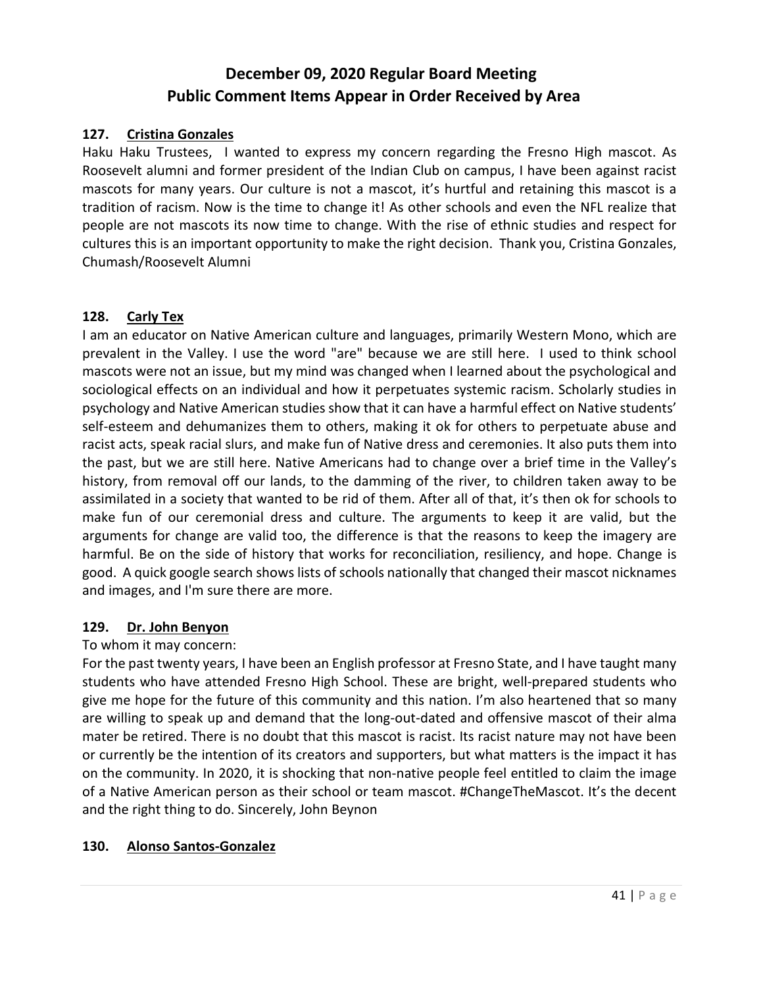#### **127. Cristina Gonzales**

Haku Haku Trustees, I wanted to express my concern regarding the Fresno High mascot. As Roosevelt alumni and former president of the Indian Club on campus, I have been against racist mascots for many years. Our culture is not a mascot, it's hurtful and retaining this mascot is a tradition of racism. Now is the time to change it! As other schools and even the NFL realize that people are not mascots its now time to change. With the rise of ethnic studies and respect for cultures this is an important opportunity to make the right decision. Thank you, Cristina Gonzales, Chumash/Roosevelt Alumni

#### **128. Carly Tex**

I am an educator on Native American culture and languages, primarily Western Mono, which are prevalent in the Valley. I use the word "are" because we are still here. I used to think school mascots were not an issue, but my mind was changed when I learned about the psychological and sociological effects on an individual and how it perpetuates systemic racism. Scholarly studies in psychology and Native American studies show that it can have a harmful effect on Native students' self-esteem and dehumanizes them to others, making it ok for others to perpetuate abuse and racist acts, speak racial slurs, and make fun of Native dress and ceremonies. It also puts them into the past, but we are still here. Native Americans had to change over a brief time in the Valley's history, from removal off our lands, to the damming of the river, to children taken away to be assimilated in a society that wanted to be rid of them. After all of that, it's then ok for schools to make fun of our ceremonial dress and culture. The arguments to keep it are valid, but the arguments for change are valid too, the difference is that the reasons to keep the imagery are harmful. Be on the side of history that works for reconciliation, resiliency, and hope. Change is good. A quick google search shows lists of schools nationally that changed their mascot nicknames and images, and I'm sure there are more.

#### **129. Dr. John Benyon**

#### To whom it may concern:

For the past twenty years, I have been an English professor at Fresno State, and I have taught many students who have attended Fresno High School. These are bright, well-prepared students who give me hope for the future of this community and this nation. I'm also heartened that so many are willing to speak up and demand that the long-out-dated and offensive mascot of their alma mater be retired. There is no doubt that this mascot is racist. Its racist nature may not have been or currently be the intention of its creators and supporters, but what matters is the impact it has on the community. In 2020, it is shocking that non-native people feel entitled to claim the image of a Native American person as their school or team mascot. #ChangeTheMascot. It's the decent and the right thing to do. Sincerely, John Beynon

## **130. Alonso Santos-Gonzalez**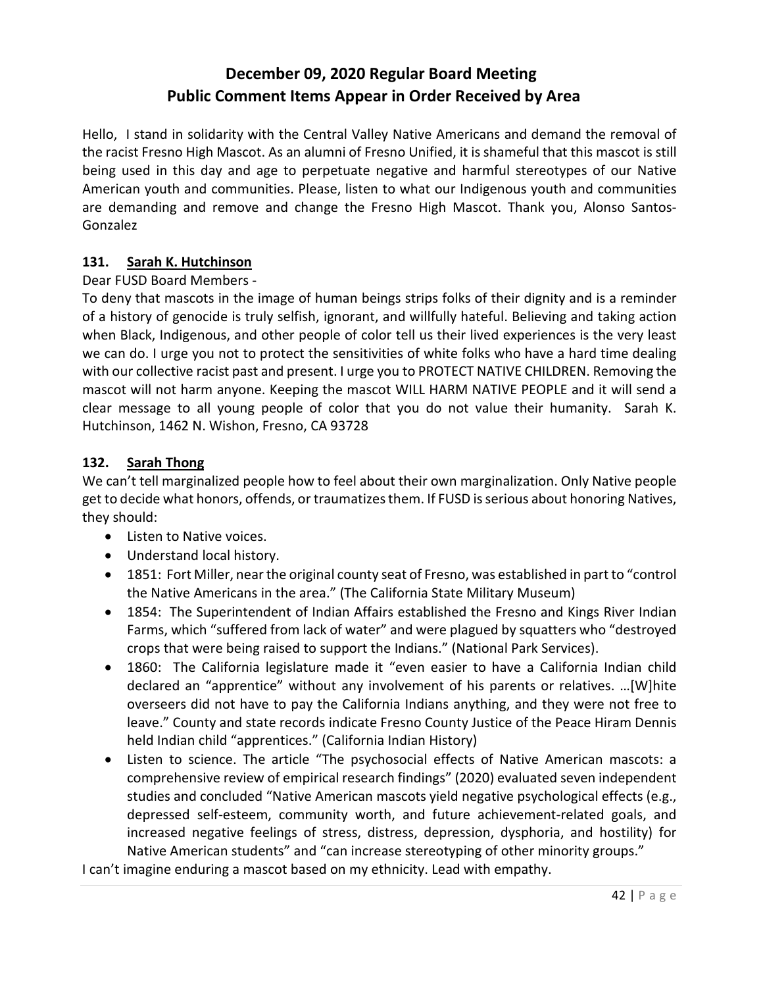Hello, I stand in solidarity with the Central Valley Native Americans and demand the removal of the racist Fresno High Mascot. As an alumni of Fresno Unified, it is shameful that this mascot is still being used in this day and age to perpetuate negative and harmful stereotypes of our Native American youth and communities. Please, listen to what our Indigenous youth and communities are demanding and remove and change the Fresno High Mascot. Thank you, Alonso Santos-Gonzalez

## **131. Sarah K. Hutchinson**

## Dear FUSD Board Members -

To deny that mascots in the image of human beings strips folks of their dignity and is a reminder of a history of genocide is truly selfish, ignorant, and willfully hateful. Believing and taking action when Black, Indigenous, and other people of color tell us their lived experiences is the very least we can do. I urge you not to protect the sensitivities of white folks who have a hard time dealing with our collective racist past and present. I urge you to PROTECT NATIVE CHILDREN. Removing the mascot will not harm anyone. Keeping the mascot WILL HARM NATIVE PEOPLE and it will send a clear message to all young people of color that you do not value their humanity. Sarah K. Hutchinson, 1462 N. Wishon, Fresno, CA 93728

#### **132. Sarah Thong**

We can't tell marginalized people how to feel about their own marginalization. Only Native people get to decide what honors, offends, or traumatizes them. If FUSD is serious about honoring Natives, they should:

- Listen to Native voices.
- Understand local history.
- 1851: Fort Miller, near the original county seat of Fresno, was established in part to "control the Native Americans in the area." (The California State Military Museum)
- 1854: The Superintendent of Indian Affairs established the Fresno and Kings River Indian Farms, which "suffered from lack of water" and were plagued by squatters who "destroyed crops that were being raised to support the Indians." (National Park Services).
- 1860: The California legislature made it "even easier to have a California Indian child declared an "apprentice" without any involvement of his parents or relatives. …[W]hite overseers did not have to pay the California Indians anything, and they were not free to leave." County and state records indicate Fresno County Justice of the Peace Hiram Dennis held Indian child "apprentices." (California Indian History)
- Listen to science. The article "The psychosocial effects of Native American mascots: a comprehensive review of empirical research findings" (2020) evaluated seven independent studies and concluded "Native American mascots yield negative psychological effects (e.g., depressed self-esteem, community worth, and future achievement-related goals, and increased negative feelings of stress, distress, depression, dysphoria, and hostility) for Native American students" and "can increase stereotyping of other minority groups."

I can't imagine enduring a mascot based on my ethnicity. Lead with empathy.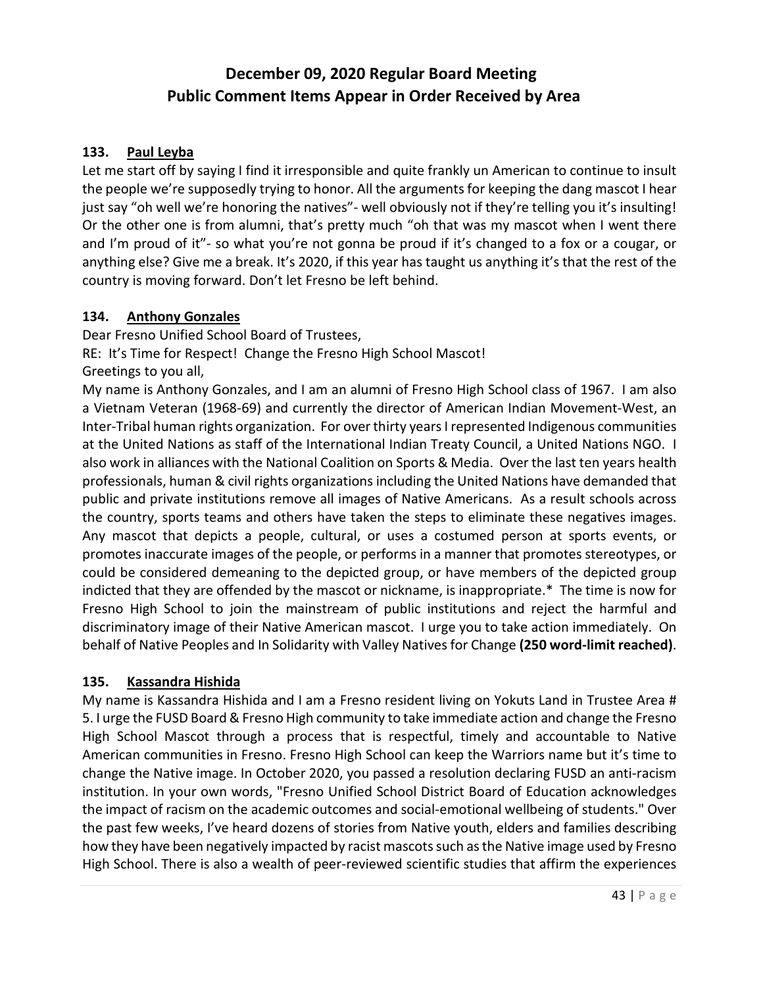### **133. Paul Leyba**

Let me start off by saying I find it irresponsible and quite frankly un American to continue to insult the people we're supposedly trying to honor. All the arguments for keeping the dang mascot I hear just say "oh well we're honoring the natives"- well obviously not if they're telling you it's insulting! Or the other one is from alumni, that's pretty much "oh that was my mascot when I went there and I'm proud of it"- so what you're not gonna be proud if it's changed to a fox or a cougar, or anything else? Give me a break. It's 2020, if this year has taught us anything it's that the rest of the country is moving forward. Don't let Fresno be left behind.

#### **134. Anthony Gonzales**

Dear Fresno Unified School Board of Trustees, RE: It's Time for Respect! Change the Fresno High School Mascot! Greetings to you all,

My name is Anthony Gonzales, and I am an alumni of Fresno High School class of 1967. I am also a Vietnam Veteran (1968-69) and currently the director of American Indian Movement-West, an Inter-Tribal human rights organization. For over thirty years I represented Indigenous communities at the United Nations as staff of the International Indian Treaty Council, a United Nations NGO. I also work in alliances with the National Coalition on Sports & Media. Over the last ten years health professionals, human & civil rights organizations including the United Nations have demanded that public and private institutions remove all images of Native Americans. As a result schools across the country, sports teams and others have taken the steps to eliminate these negatives images. Any mascot that depicts a people, cultural, or uses a costumed person at sports events, or promotes inaccurate images of the people, or performs in a manner that promotes stereotypes, or could be considered demeaning to the depicted group, or have members of the depicted group indicted that they are offended by the mascot or nickname, is inappropriate.\* The time is now for Fresno High School to join the mainstream of public institutions and reject the harmful and discriminatory image of their Native American mascot. I urge you to take action immediately. On behalf of Native Peoples and In Solidarity with Valley Natives for Change **(250 word-limit reached)**.

## **135. Kassandra Hishida**

My name is Kassandra Hishida and I am a Fresno resident living on Yokuts Land in Trustee Area # 5. I urge the FUSD Board & Fresno High community to take immediate action and change the Fresno High School Mascot through a process that is respectful, timely and accountable to Native American communities in Fresno. Fresno High School can keep the Warriors name but it's time to change the Native image. In October 2020, you passed a resolution declaring FUSD an anti-racism institution. In your own words, "Fresno Unified School District Board of Education acknowledges the impact of racism on the academic outcomes and social-emotional wellbeing of students." Over the past few weeks, I've heard dozens of stories from Native youth, elders and families describing how they have been negatively impacted by racist mascots such as the Native image used by Fresno High School. There is also a wealth of peer-reviewed scientific studies that affirm the experiences